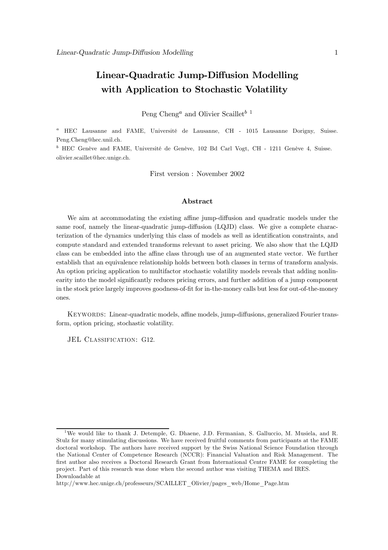## Linear-Quadratic Jump-Diffusion Modelling with Application to Stochastic Volatility

Peng Cheng<sup>a</sup> and Olivier Scaillet<sup>b 1</sup>

<sup>a</sup> HEC Lausanne and FAME, Université de Lausanne, CH - 1015 Lausanne Dorigny, Suisse. Peng.Cheng@hec.unil.ch.

<sup>b</sup> HEC Genève and FAME, Université de Genève, 102 Bd Carl Vogt, CH - 1211 Genève 4, Suisse. olivier.scaillet@hec.unige.ch.

First version : November 2002

#### Abstract

We aim at accommodating the existing affine jump-diffusion and quadratic models under the same roof, namely the linear-quadratic jump-diffusion (LQJD) class. We give a complete characterization of the dynamics underlying this class of models as well as identification constraints, and compute standard and extended transforms relevant to asset pricing. We also show that the LQJD class can be embedded into the affine class through use of an augmented state vector. We further establish that an equivalence relationship holds between both classes in terms of transform analysis. An option pricing application to multifactor stochastic volatility models reveals that adding nonlinearity into the model significantly reduces pricing errors, and further addition of a jump component in the stock price largely improves goodness-of-fit for in-the-money calls but less for out-of-the-money ones.

Keywords: Linear-quadratic models, affine models, jump-diffusions, generalized Fourier transform, option pricing, stochastic volatility.

JEL CLASSIFICATION: G12.

<sup>&</sup>lt;sup>1</sup>We would like to thank J. Detemple, G. Dhaene, J.D. Fermanian, S. Galluccio, M. Musiela, and R. Stulz for many stimulating discussions. We have received fruitful comments from participants at the FAME doctoral workshop. The authors have received support by the Swiss National Science Foundation through the National Center of Competence Research (NCCR): Financial Valuation and Risk Management. The first author also receives a Doctoral Research Grant from International Centre FAME for completing the project. Part of this research was done when the second author was visiting THEMA and IRES. Downloadable at

http://www.hec.unige.ch/professeurs/SCAILLET\_Olivier/pages\_web/Home\_Page.htm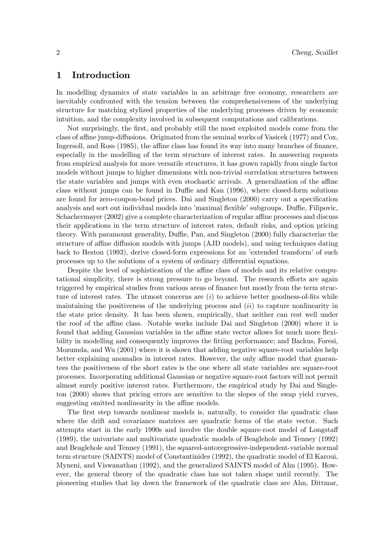### 1 Introduction

In modelling dynamics of state variables in an arbitrage free economy, researchers are inevitably confronted with the tension between the comprehensiveness of the underlying structure for matching stylized properties of the underlying processes driven by economic intuition, and the complexity involved in subsequent computations and calibrations.

Not surprisingly, the first, and probably still the most exploited models come from the class of affine jump-diffusions. Originated from the seminal works of Vasicek (1977) and Cox, Ingersoll, and Ross (1985), the affine class has found its way into many branches of finance, especially in the modelling of the term structure of interest rates. In answering requests from empirical analysis for more versatile structures, it has grown rapidly from single factor models without jumps to higher dimensions with non-trivial correlation structures between the state variables and jumps with even stochastic arrivals. A generalization of the affine class without jumps can be found in Duffie and Kan (1996), where closed-form solutions are found for zero-coupon-bond prices. Dai and Singleton (2000) carry out a specification analysis and sort out individual models into 'maximal flexible' subgroups. Duffie, Filipovic, Schachermayer (2002) give a complete characterization of regular affine processes and discuss their applications in the term structure of interest rates, default risks, and option pricing theory. With paramount generality, Duffie, Pan, and Singleton (2000) fully characterize the structure of affine diffusion models with jumps (AJD models), and using techniques dating back to Heston (1993), derive closed-form expressions for an 'extended transform' of such processes up to the solutions of a system of ordinary differential equations.

Despite the level of sophistication of the affine class of models and its relative computational simplicity, there is strong pressure to go beyond. The research efforts are again triggered by empirical studies from various areas of finance but mostly from the term structure of interest rates. The utmost concerns are  $(i)$  to achieve better goodness-of-fits while maintaining the positiveness of the underlying process and  $(ii)$  to capture nonlinearity in the state price density. It has been shown, empirically, that neither can rest well under the roof of the affine class. Notable works include Dai and Singleton (2000) where it is found that adding Gaussian variables in the affine state vector allows for much more flexibility in modelling and consequently improves the fitting performance; and Backus, Foresi, Mozumda, and Wu (2001) where it is shown that adding negative square-root variables help better explaining anomalies in interest rates. However, the only affine model that guarantees the positiveness of the short rates is the one where all state variables are square-root processes. Incorporating additional Gaussian or negative square-root factors will not permit almost surely positive interest rates. Furthermore, the empirical study by Dai and Singleton (2000) shows that pricing errors are sensitive to the slopes of the swap yield curves, suggesting omitted nonlinearity in the affine models.

The first step towards nonlinear models is, naturally, to consider the quadratic class where the drift and covariance matrices are quadratic forms of the state vector. Such attempts start in the early 1990s and involve the double square-root model of Longstaff (1989), the univariate and multivariate quadratic models of Beaglehole and Tenney (1992) and Beaglehole and Tenney (1991), the squared-autoregressive-independent-variable normal term structure (SAINTS) model of Constantinides (1992), the quadratic model of El Karoui, Myneni, and Viswanathan (1992), and the generalized SAINTS model of Ahn (1995). However, the general theory of the quadratic class has not taken shape until recently. The pioneering studies that lay down the framework of the quadratic class are Ahn, Dittmar,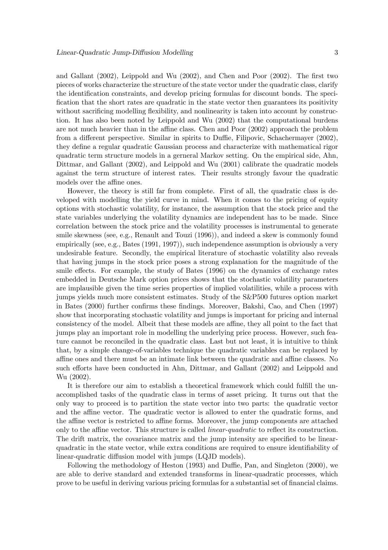and Gallant (2002), Leippold and Wu (2002), and Chen and Poor (2002). The first two pieces of works characterize the structure of the state vector under the quadratic class, clarify the identification constraints, and develop pricing formulas for discount bonds. The specification that the short rates are quadratic in the state vector then guarantees its positivity without sacrificing modelling flexibility, and nonlinearity is taken into account by construction. It has also been noted by Leippold and Wu (2002) that the computational burdens are not much heavier than in the affine class. Chen and Poor (2002) approach the problem from a different perspective. Similar in spirits to Duffie, Filipovic, Schachermayer (2002), they define a regular quadratic Gaussian process and characterize with mathematical rigor quadratic term structure models in a gerneral Markov setting. On the empirical side, Ahn, Dittmar, and Gallant (2002), and Leippold and Wu (2001) calibrate the quadratic models against the term structure of interest rates. Their results strongly favour the quadratic models over the affine ones.

However, the theory is still far from complete. First of all, the quadratic class is developed with modelling the yield curve in mind. When it comes to the pricing of equity options with stochastic volatility, for instance, the assumption that the stock price and the state variables underlying the volatility dynamics are independent has to be made. Since correlation between the stock price and the volatility processes is instrumental to generate smile skewness (see, e.g., Renault and Touzi (1996)), and indeed a skew is commonly found empirically (see, e.g., Bates (1991, 1997)), such independence assumption is obviously a very undesirable feature. Secondly, the empirical literature of stochastic volatility also reveals that having jumps in the stock price poses a strong explanation for the magnitude of the smile effects. For example, the study of Bates (1996) on the dynamics of exchange rates embedded in Deutsche Mark option prices shows that the stochastic volatility parameters are implausible given the time series properties of implied volatilities, while a process with jumps yields much more consistent estimates. Study of the S&P500 futures option market in Bates (2000) further confirms these findings. Moreover, Bakshi, Cao, and Chen (1997) show that incorporating stochastic volatility and jumps is important for pricing and internal consistency of the model. Albeit that these models are affine, they all point to the fact that jumps play an important role in modelling the underlying price process. However, such feature cannot be reconciled in the quadratic class. Last but not least, it is intuitive to think that, by a simple change-of-variables technique the quadratic variables can be replaced by affine ones and there must be an intimate link between the quadratic and affine classes. No such efforts have been conducted in Ahn, Dittmar, and Gallant (2002) and Leippold and Wu (2002).

It is therefore our aim to establish a theoretical framework which could fulfill the unaccomplished tasks of the quadratic class in terms of asset pricing. It turns out that the only way to proceed is to partition the state vector into two parts: the quadratic vector and the affine vector. The quadratic vector is allowed to enter the quadratic forms, and the affine vector is restricted to affine forms. Moreover, the jump components are attached only to the affine vector. This structure is called linear-quadratic to reflect its construction. The drift matrix, the covariance matrix and the jump intensity are specified to be linearquadratic in the state vector, while extra conditions are required to ensure identifiability of linear-quadratic diffusion model with jumps (LQJD models).

Following the methodology of Heston (1993) and Duffie, Pan, and Singleton (2000), we are able to derive standard and extended transforms in linear-quadratic processes, which prove to be useful in deriving various pricing formulas for a substantial set of financial claims.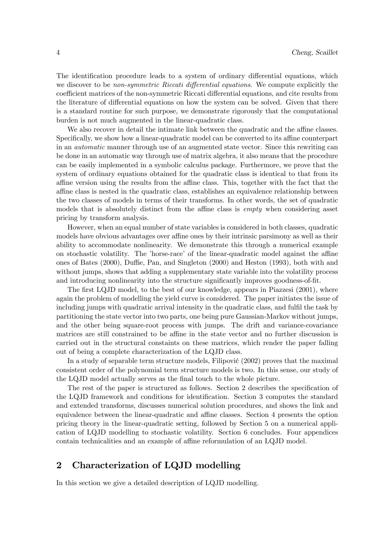The identification procedure leads to a system of ordinary differential equations, which we discover to be non-symmetric Riccati differential equations. We compute explicitly the coefficient matrices of the non-symmetric Riccati differential equations, and cite results from the literature of differential equations on how the system can be solved. Given that there is a standard routine for such purpose, we demonstrate rigorously that the computational burden is not much augmented in the linear-quadratic class.

We also recover in detail the intimate link between the quadratic and the affine classes. Specifically, we show how a linear-quadratic model can be converted to its affine counterpart in an automatic manner through use of an augmented state vector. Since this rewriting can be done in an automatic way through use of matrix algebra, it also means that the procedure can be easily implemented in a symbolic calculus package. Furthermore, we prove that the system of ordinary equations obtained for the quadratic class is identical to that from its affine version using the results from the affine class. This, together with the fact that the affine class is nested in the quadratic class, establishes an equivalence relationship between the two classes of models in terms of their transforms. In other words, the set of quadratic models that is absolutely distinct from the affine class is empty when considering asset pricing by transform analysis.

However, when an equal number of state variables is considered in both classes, quadratic models have obvious advantages over affine ones by their intrinsic parsimony as well as their ability to accommodate nonlinearity. We demonstrate this through a numerical example on stochastic volatility. The 'horse-race' of the linear-quadratic model against the affine ones of Bates (2000), Duffie, Pan, and Singleton (2000) and Heston (1993), both with and without jumps, shows that adding a supplementary state variable into the volatility process and introducing nonlinearity into the structure significantly improves goodness-of-fit.

The first LQJD model, to the best of our knowledge, appears in Piazzesi (2001), where again the problem of modelling the yield curve is considered. The paper initiates the issue of including jumps with quadratic arrival intensity in the quadratic class, and fulfil the task by partitioning the state vector into two parts, one being pure Gaussian-Markov without jumps, and the other being square-root process with jumps. The drift and variance-covariance matrices are still constrained to be affine in the state vector and no further discussion is carried out in the structural constaints on these matrices, which render the paper falling out of being a complete characterization of the LQJD class.

In a study of separable term structure models, Filipović  $(2002)$  proves that the maximal consistent order of the polynomial term structure models is two. In this sense, our study of the LQJD model actually serves as the final touch to the whole picture.

The rest of the paper is structured as follows. Section 2 describes the specification of the LQJD framework and conditions for identification. Section 3 computes the standard and extended transforms, discusses numerical solution procedures, and shows the link and equivalence between the linear-quadratic and affine classes. Section 4 presents the option pricing theory in the linear-quadratic setting, followed by Section 5 on a numerical application of LQJD modelling to stochastic volatility. Section 6 concludes. Four appendices contain technicalities and an example of affine reformulation of an LQJD model.

## 2 Characterization of LQJD modelling

In this section we give a detailed description of LQJD modelling.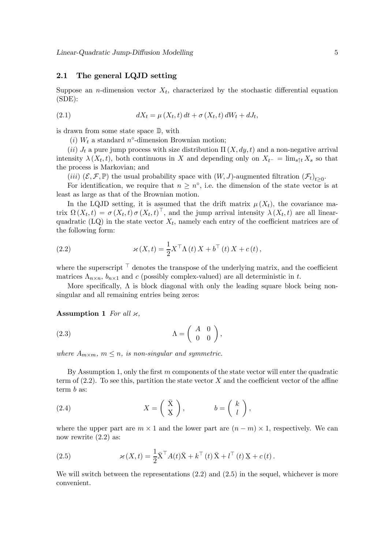#### 2.1 The general LQJD setting

Suppose an *n*-dimension vector  $X_t$ , characterized by the stochastic differential equation  $(SDE):$ 

(2.1) 
$$
dX_t = \mu(X_t, t) dt + \sigma(X_t, t) dW_t + dJ_t,
$$

is drawn from some state space D, with

(i)  $W_t$  a standard n°-dimension Brownian motion;

(ii)  $J_t$  a pure jump process with size distribution  $\Pi(X, dy, t)$  and a non-negative arrival intensity  $\lambda(X_t, t)$ , both continuous in X and depending only on  $X_{t^-} = \lim_{s \uparrow t} X_s$  so that the process is Markovian; and

(iii)  $(\mathcal{E}, \mathcal{F}, \mathbb{P})$  the usual probability space with  $(W, J)$ -augmented filtration  $(\mathcal{F}_t)$ <sub>t</sub><sub>20</sub>.

For identification, we require that  $n \geq n^{\circ}$ , i.e. the dimension of the state vector is at least as large as that of the Brownian motion.

In the LQJD setting, it is assumed that the drift matrix  $\mu(X_t)$ , the covariance matrix  $\Omega(X_t,t) = \sigma(X_t,t) \sigma(X_t,t)^{\top}$ , and the jump arrival intensity  $\lambda(X_t,t)$  are all linearquadratic (LQ) in the state vector  $X_t$ , namely each entry of the coefficient matrices are of the following form:

(2.2) 
$$
\varkappa(X,t) = \frac{1}{2} X^\top \Lambda(t) X + b^\top(t) X + c(t),
$$

where the superscript  $\top$  denotes the transpose of the underlying matrix, and the coefficient matrices  $\Lambda_{n\times n}$ ,  $b_{n\times 1}$  and c (possibly complex-valued) are all deterministic in t.

More specifically,  $\Lambda$  is block diagonal with only the leading square block being nonsingular and all remaining entries being zeros:

Assumption 1 For all  $\varkappa$ ,

$$
\Lambda = \begin{pmatrix} A & 0 \\ 0 & 0 \end{pmatrix},
$$

where  $A_{m \times m}$ ,  $m \leq n$ , is non-singular and symmetric.

By Assumption 1, only the first  $m$  components of the state vector will enter the quadratic term of  $(2.2)$ . To see this, partition the state vector X and the coefficient vector of the affine term b as:

(2.4) 
$$
X = \begin{pmatrix} \bar{X} \\ \underline{X} \end{pmatrix}, \qquad b = \begin{pmatrix} k \\ l \end{pmatrix},
$$

where the upper part are  $m \times 1$  and the lower part are  $(n - m) \times 1$ , respectively. We can now rewrite  $(2.2)$  as:

(2.5) 
$$
\varkappa(X,t) = \frac{1}{2}\overline{X}^\top A(t)\overline{X} + k^\top(t)\overline{X} + l^\top(t)X + c(t).
$$

We will switch between the representations  $(2.2)$  and  $(2.5)$  in the sequel, whichever is more convenient.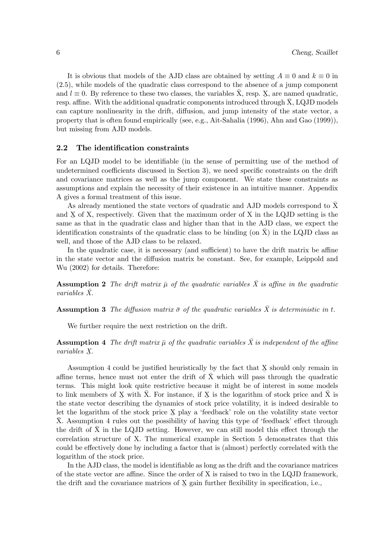It is obvious that models of the AJD class are obtained by setting  $A \equiv 0$  and  $k \equiv 0$  in (2.5), while models of the quadratic class correspond to the absence of a jump component and  $l \equiv 0$ . By reference to these two classes, the variables  $\bar{X}$ , resp.  $\underline{X}$ , are named quadratic, resp. affine. With the additional quadratic components introduced through  $X$ , LQJD models can capture nonlinearity in the drift, diffusion, and jump intensity of the state vector, a property that is often found empirically (see, e.g., Ait-Sahalia (1996), Ahn and Gao (1999)), but missing from AJD models.

#### 2.2 The identification constraints

For an LQJD model to be identifiable (in the sense of permitting use of the method of undetermined coefficients discussed in Section 3), we need specific constraints on the drift and covariance matrices as well as the jump component. We state these constraints as assumptions and explain the necessity of their existence in an intuitive manner. Appendix A gives a formal treatment of this issue.

As already mentioned the state vectors of quadratic and AJD models correspond to  $\bar{X}$ and  $X$  of  $X$ , respectively. Given that the maximum order of  $X$  in the LQJD setting is the same as that in the quadratic class and higher than that in the AJD class, we expect the identification constraints of the quadratic class to be binding (on  $X$ ) in the LQJD class as well, and those of the AJD class to be relaxed.

In the quadratic case, it is necessary (and sufficient) to have the drift matrix be affine in the state vector and the diffusion matrix be constant. See, for example, Leippold and Wu (2002) for details. Therefore:

**Assumption 2** The drift matrix  $\bar{\mu}$  of the quadratic variables  $\bar{X}$  is affine in the quadratic  $variables X$ .

**Assumption 3** The diffusion matrix  $\bar{\sigma}$  of the quadratic variables  $\bar{X}$  is deterministic in t.

We further require the next restriction on the drift.

**Assumption 4** The drift matrix  $\bar{\mu}$  of the quadratic variables  $\bar{X}$  is independent of the affine variables X.

Assumption  $4$  could be justified heuristically by the fact that  $X$  should only remain in affine terms, hence must not enter the drift of  $\bar{X}$  which will pass through the quadratic terms. This might look quite restrictive because it might be of interest in some models to link members of X with  $\bar{X}$ . For instance, if X is the logarithm of stock price and  $\bar{X}$  is the state vector describing the dynamics of stock price volatility, it is indeed desirable to let the logarithm of the stock price  $X$  play a 'feedback' role on the volatility state vector  $\bar{X}$ . Assumption 4 rules out the possibility of having this type of 'feedback' effect through the drift of X in the LQJD setting. However, we can still model this effect through the correlation structure of X. The numerical example in Section 5 demonstrates that this could be effectively done by including a factor that is (almost) perfectly correlated with the logarithm of the stock price.

In the AJD class, the model is identifiable as long as the drift and the covariance matrices of the state vector are affine. Since the order of X is raised to two in the LQJD framework, the drift and the covariance matrices of  $X$  gain further flexibility in specification, i.e.,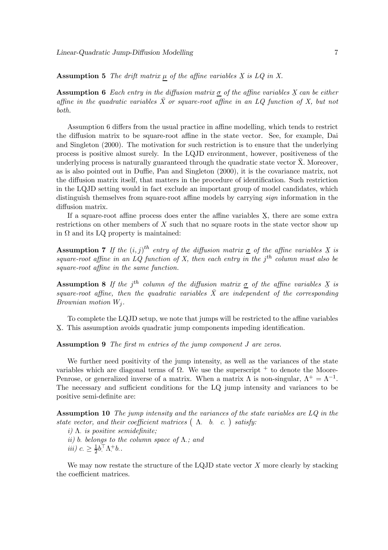Assumption 5 The drift matrix  $\mu$  of the affine variables  $X$  is LQ in X.

**Assumption 6** Each entry in the diffusion matrix  $\sigma$  of the affine variables X can be either affine in the quadratic variables  $\bar{X}$  or square-root affine in an LQ function of X, but not both.

Assumption 6 differs from the usual practice in affine modelling, which tends to restrict the diffusion matrix to be square-root affine in the state vector. See, for example, Dai and Singleton (2000). The motivation for such restriction is to ensure that the underlying process is positive almost surely. In the LQJD environment, however, positiveness of the underlying process is naturally guaranteed through the quadratic state vector  $\bar{X}$ . Moreover, as is also pointed out in Duffie, Pan and Singleton (2000), it is the covariance matrix, not the diffusion matrix itself, that matters in the procedure of identification. Such restriction in the LQJD setting would in fact exclude an important group of model candidates, which distinguish themselves from square-root affine models by carrying *sign* information in the diffusion matrix.

If a square-root affine process does enter the affine variables  $X$ , there are some extra<br>rigiding on other perchange of  $X$  such that no square posts in the state vector show up restrictions on other members of  $X$  such that no square roots in the state vector show up in  $\Omega$  and its LQ property is maintained:

**Assumption 7** If the  $(i, j)$ <sup>th</sup> entry of the diffusion matrix  $\sigma$  of the affine variables X is square-root affine in an LQ function of X, then each entry in the  $i<sup>th</sup>$  column must also be square-root affine in the same function.

**Assumption 8** If the j<sup>th</sup> column of the diffusion matrix  $\sigma$  of the affine variables X is square-root affine, then the quadratic variables  $\overline{X}$  are independent of the corresponding Brownian motion  $W_i$ .

To complete the LQJD setup, we note that jumps will be restricted to the affine variables X ¯ . This assumption avoids quadratic jump components impeding identification.

Assumption 9 The first m entries of the jump component J are zeros.

We further need positivity of the jump intensity, as well as the variances of the state variables which are diagonal terms of  $\Omega$ . We use the superscript  $+$  to denote the Moore-Penrose, or generalized inverse of a matrix. When a matrix  $\Lambda$  is non-singular,  $\Lambda^+ = \Lambda^{-1}$ . The necessary and sufficient conditions for the LQ jump intensity and variances to be positive semi-definite are:

Assumption 10 The jump intensity and the variances of the state variables are LQ in the state vector, and their coefficient matrices  $(\Lambda, b, c.)$  satisfy:

- i)  $\Lambda$  is positive semidefinite;
- ii) b. belongs to the column space of  $\Lambda$ : and
- iii)  $c_{\cdot} \geq \frac{1}{2} b_{\cdot}^{\top} \Lambda_{\cdot}^{+} b_{\cdot}$ .

We may now restate the structure of the LQJD state vector  $X$  more clearly by stacking the coefficient matrices.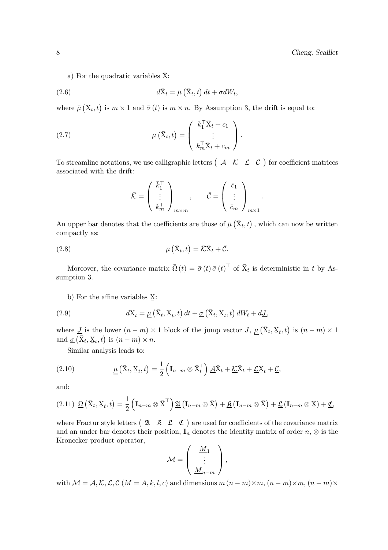a) For the quadratic variables  $\bar{X}$ :

(2.6) 
$$
d\bar{X}_t = \bar{\mu} \left( \bar{X}_t, t \right) dt + \bar{\sigma} dW_t,
$$

where  $\bar{\mu}(\bar{X}_t, t)$  is  $m \times 1$  and  $\bar{\sigma}(t)$  is  $m \times n$ . By Assumption 3, the drift is equal to:

(2.7) 
$$
\bar{\mu}(\bar{X}_t,t) = \begin{pmatrix} k_1^\top \bar{X}_t + c_1 \\ \vdots \\ k_m^\top \bar{X}_t + c_m \end{pmatrix}.
$$

To streamline notations, we use calligraphic letters  $\begin{pmatrix} A & \mathcal{K} & \mathcal{L} & \mathcal{C} \end{pmatrix}$  for coefficient matrices associated with the drift:

$$
\bar{\mathcal{K}} = \begin{pmatrix} \bar{k}_1^{\top} \\ \vdots \\ \bar{k}_m^{\top} \end{pmatrix}_{m \times m}, \quad \bar{\mathcal{C}} = \begin{pmatrix} \bar{c}_1 \\ \vdots \\ \bar{c}_m \end{pmatrix}_{m \times 1}.
$$

An upper bar denotes that the coefficients are those of  $\bar{\mu}(\bar{X}_t, t)$ , which can now be written compactly as:

(2.8) 
$$
\bar{\mu}\left(\bar{\mathbf{X}}_t, t\right) = \bar{\mathcal{K}}\bar{\mathbf{X}}_t + \bar{\mathcal{C}}.
$$

Moreover, the covariance matrix  $\bar{\Omega}(t) = \bar{\sigma}(t) \bar{\sigma}(t)^{\top}$  of  $\bar{X}_t$  is deterministic in t by Assumption 3.

b) For the affine variables  $\Sigma$ :

(2.9) 
$$
dX_t = \underline{\mu} \left( \bar{X}_t, X_t, t \right) dt + \underline{\sigma} \left( \bar{X}_t, X_t, t \right) dW_t + d\underline{J},
$$

where  $J$  is the lower  $(n-m) \times 1$  block of the jump vector  $J, \underline{\mu}(\bar{X}_t, \underline{X}_t, t)$  is  $(n-m) \times 1$ and  $\underline{\sigma}(\overline{X}_t, \overline{X}_t, t)$  is  $(n - m) \times n$ .

Similar analysis leads to:

(2.10) 
$$
\underline{\mu}(\bar{X}_t, \underline{X}_t, t) = \frac{1}{2} \left( \mathbf{I}_{n-m} \otimes \bar{X}_t^{\top} \right) \underline{A} \bar{X}_t + \underline{\mathcal{K}} \bar{X}_t + \underline{\mathcal{L}} \underline{X}_t + \underline{\mathcal{C}},
$$

and:

$$
(2.11) \ \underline{\Omega} (\bar{X}_t, \underline{X}_t, t) = \frac{1}{2} \left( \mathbf{I}_{n-m} \otimes \bar{X}^\top \right) \underline{\mathfrak{A}} \left( \mathbf{I}_{n-m} \otimes \bar{X} \right) + \underline{\mathfrak{K}} \left( \mathbf{I}_{n-m} \otimes \bar{X} \right) + \underline{\mathfrak{L}} \left( \mathbf{I}_{n-m} \otimes \underline{X} \right) + \underline{\mathfrak{C}},
$$

where Fractur style letters  $(2\mathbf{A} \ \mathbf{B} \ \mathbf{C})$  are used for coefficients of the covariance matrix and an under bar denotes their position,  $I_n$  denotes the identity matrix of order  $n, \otimes$  is the Kronecker product operator,

$$
\underline{\mathcal{M}} = \left( \begin{array}{c} \underline{M}_1 \\ \vdots \\ \underline{M}_{n-m} \end{array} \right),
$$

with  $\mathcal{M} = \mathcal{A}, \mathcal{K}, \mathcal{L}, \mathcal{C}$   $(M = A, k, l, c)$  and dimensions  $m (n - m) \times m, (n - m) \times m, (n - m) \times m$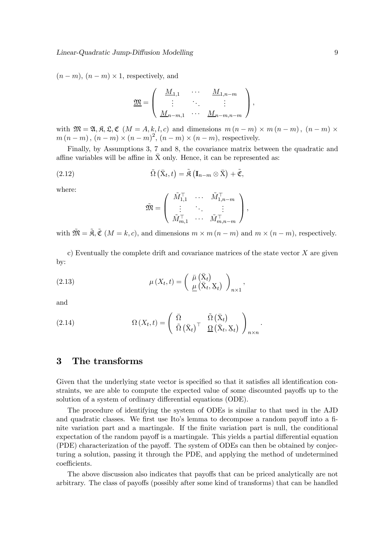$(n-m)$ ,  $(n-m) \times 1$ , respectively, and

$$
\underline{\mathfrak{M}} = \left( \begin{array}{ccc} \underline{M}_{1,1} & \cdots & \underline{M}_{1,n-m} \\ \vdots & \ddots & \vdots \\ \underline{M}_{n-m,1} & \cdots & \underline{M}_{n-m,n-m} \end{array} \right),
$$

with  $\mathfrak{M} = \mathfrak{A}, \mathfrak{K}, \mathfrak{L}, \mathfrak{C}$  ( $M = A, k, l, c$ ) and dimensions  $m (n - m) \times m (n - m)$ ,  $(n - m) \times$  $m(n-m), (n-m) \times (n-m)^2, (n-m) \times (n-m)$ , respectively.

Finally, by Assumptions 3, 7 and 8, the covariance matrix between the quadratic and affine variables will be affine in  $\bar{X}$  only. Hence, it can be represented as:

(2.12) 
$$
\tilde{\Omega}\left(\bar{\mathrm{X}}_{t}, t\right) = \tilde{\mathfrak{K}}\left(\mathbf{I}_{n-m} \otimes \bar{\mathrm{X}}\right) + \tilde{\mathfrak{C}},
$$

where:

$$
\widetilde{\mathfrak{M}} = \left( \begin{array}{ccc} \widetilde{M}_{1,1}^{\top} & \cdots & \widetilde{M}_{1,n-m}^{\top} \\ \vdots & \ddots & \vdots \\ \widetilde{M}_{m,1}^{\top} & \cdots & \widetilde{M}_{m,n-m}^{\top} \end{array} \right),
$$

with  $\tilde{\mathfrak{M}} = \tilde{\mathfrak{K}}, \tilde{\mathfrak{C}} \ (M = k, c)$ , and dimensions  $m \times m (n - m)$  and  $m \times (n - m)$ , respectively.

c) Eventually the complete drift and covariance matrices of the state vector  $X$  are given by:

,

(2.13) 
$$
\mu(X_t, t) = \begin{pmatrix} \bar{\mu}(\bar{X}_t) \\ \underline{\mu}(\bar{X}_t, \underline{X}_t) \end{pmatrix}_{n \times 1}
$$

and

(2.14) 
$$
\Omega(X_t,t) = \begin{pmatrix} \bar{\Omega} & \tilde{\Omega}(\bar{X}_t) \\ \tilde{\Omega}(\bar{X}_t)^{\top} & \underline{\Omega}(\bar{X}_t, X_t) \end{pmatrix}_{n \times n}.
$$

## 3 The transforms

Given that the underlying state vector is specified so that it satisfies all identification constraints, we are able to compute the expected value of some discounted payoffs up to the solution of a system of ordinary differential equations (ODE).

The procedure of identifying the system of ODEs is similar to that used in the AJD and quadratic classes. We first use Ito's lemma to decompose a random payoff into a finite variation part and a martingale. If the finite variation part is null, the conditional expectation of the random payoff is a martingale. This yields a partial differential equation (PDE) characterization of the payoff. The system of ODEs can then be obtained by conjecturing a solution, passing it through the PDE, and applying the method of undetermined coefficients.

The above discussion also indicates that payoffs that can be priced analytically are not arbitrary. The class of payoffs (possibly after some kind of transforms) that can be handled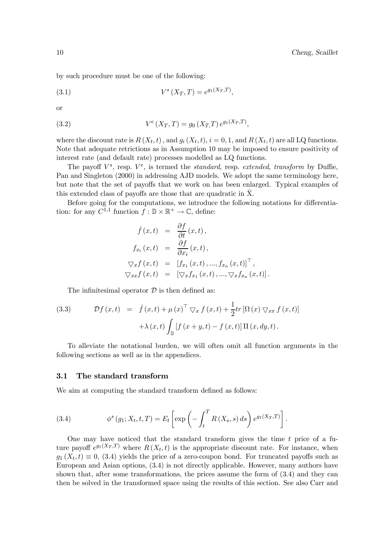by such procedure must be one of the following:

(3.1) 
$$
V^s(X_T, T) = e^{g_1(X_T, T)},
$$

or

(3.2) 
$$
V^{e}(X_{T}, T) = g_{0}(X_{T}, T) e^{g_{1}(X_{T}, T)},
$$

where the discount rate is  $R(X_t, t)$ , and  $g_i(X_t, t)$ ,  $i = 0, 1$ , and  $R(X_t, t)$  are all LQ functions. Note that adequate retrictions as in Assumption 10 may be imposed to ensure positivity of interest rate (and default rate) processes modelled as LQ functions.

The payoff  $V^s$ , resp.  $V^e$ , is termed the *standard*, resp. extended, transform by Duffie, Pan and Singleton (2000) in addressing AJD models. We adopt the same terminology here, but note that the set of payoffs that we work on has been enlarged. Typical examples of this extended class of payoffs are those that are quadratic in X. ¯

Before going for the computations, we introduce the following notations for differentiation: for any  $C^{1,1}$  function  $f : \mathbb{D} \times \mathbb{R}^+ \to \mathbb{C}$ , define:

$$
\dot{f}(x,t) = \frac{\partial f}{\partial t}(x,t),
$$
\n
$$
f_{x_i}(x,t) = \frac{\partial f}{\partial x_i}(x,t),
$$
\n
$$
\nabla_x f(x,t) = [f_{x_1}(x,t),...,f_{x_n}(x,t)]^\top,
$$
\n
$$
\nabla_x f(x,t) = [\nabla_x f_{x_1}(x,t),..., \nabla_x f_{x_n}(x,t)].
$$

The infinitesimal operator  $\mathcal D$  is then defined as:

(3.3) 
$$
\mathcal{D}f(x,t) = \dot{f}(x,t) + \mu(x)^{\top} \nabla_x f(x,t) + \frac{1}{2} tr \left[ \Omega(x) \nabla_{xx} f(x,t) \right] + \lambda(x,t) \int_{\mathbb{D}} \left[ f(x+y,t) - f(x,t) \right] \Pi(x,dy,t).
$$

To alleviate the notational burden, we will often omit all function arguments in the following sections as well as in the appendices.

#### 3.1 The standard transform

We aim at computing the standard transform defined as follows:

(3.4) 
$$
\phi^{s}(g_1; X_t, t, T) = E_t \left[ \exp \left( - \int_t^T R(X_s, s) ds \right) e^{g_1(X_T, T)} \right].
$$

One may have noticed that the standard transform gives the time  $t$  price of a future payoff  $e^{g_1(X_T,T)}$  where  $R(X_t,t)$  is the appropriate discount rate. For instance, when  $g_1(X_t, t) \equiv 0$ , (3.4) yields the price of a zero-coupon bond. For truncated payoffs such as European and Asian options, (3.4) is not directly applicable. However, many authors have shown that, after some transformations, the prices assume the form of (3.4) and they can then be solved in the transformed space using the results of this section. See also Carr and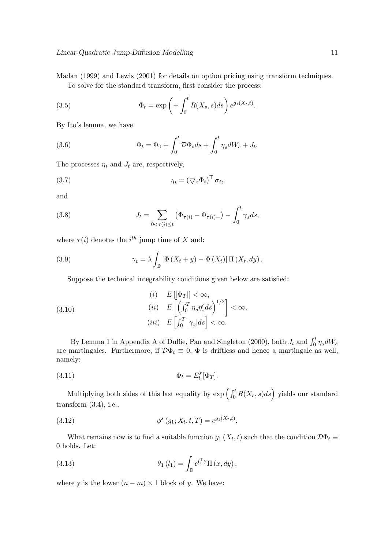Madan (1999) and Lewis (2001) for details on option pricing using transform techniques.

To solve for the standard transform, first consider the process:

(3.5) 
$$
\Phi_t = \exp\left(-\int_0^t R(X_s, s)ds\right) e^{g_1(X_t, t)}.
$$

By Ito's lemma, we have

(3.6) 
$$
\Phi_t = \Phi_0 + \int_0^t \mathcal{D}\Phi_s ds + \int_0^t \eta_s dW_s + J_t.
$$

The processes  $\eta_t$  and  $J_t$  are, respectively,

$$
\eta_t = \left(\nabla_x \Phi_t\right)^\top \sigma_t,
$$

and

(3.8) 
$$
J_t = \sum_{0 < \tau(i) \le t} (\Phi_{\tau(i)} - \Phi_{\tau(i)-}) - \int_0^t \gamma_s ds,
$$

where  $\tau(i)$  denotes the  $i^{th}$  jump time of X and:

(3.9) 
$$
\gamma_t = \lambda \int_{\mathbb{D}} \left[ \Phi \left( X_t + y \right) - \Phi \left( X_t \right) \right] \Pi \left( X_t, dy \right).
$$

Suppose the technical integrability conditions given below are satisfied:

(3.10)  
\n
$$
(i) \quad E\left[\Phi_T\right] < \infty,
$$
\n
$$
(ii) \quad E\left[\left(\int_0^T \eta_s \eta'_s ds\right)^{1/2}\right] < \infty,
$$
\n
$$
(iii) \quad E\left[\int_0^T |\gamma_s| ds\right] < \infty.
$$

By Lemma 1 in Appendix A of Duffie, Pan and Singleton (2000), both  $J_t$  and  $\int_0^t \eta_s dW_s$ are martingales. Furthermore, if  $\mathcal{D}\Phi_t \equiv 0$ ,  $\Phi$  is driftless and hence a martingale as well, namely:

$$
\Phi_t = E_t^{\chi} [\Phi_T].
$$

Multiplying both sides of this last equality by  $\exp\left(\int_0^t R(X_s, s)ds\right)$  yields our standard transform  $(3.4)$ , i.e.,

(3.12) 
$$
\phi^s(g_1; X_t, t, T) = e^{g_1(X_t, t)}.
$$

What remains now is to find a suitable function  $g_1(X_t, t)$  such that the condition  $\mathcal{D}\Phi_t \equiv$ 0 holds. Let:

(3.13) 
$$
\theta_1(l_1) = \int_{\mathbb{D}} e^{l_1^\top \underline{y}} \Pi(x, dy),
$$

where y is the lower  $(n - m) \times 1$  block of y. We have: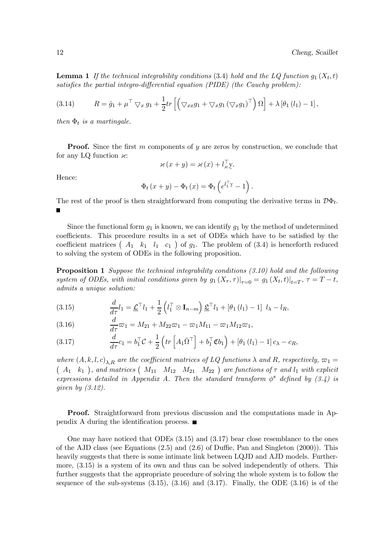**Lemma 1** If the technical integrability conditions (3.4) hold and the LQ function  $g_1(X_t, t)$ satisfies the partial integro-differential equation (PIDE) (the Cauchy problem):

(3.14) 
$$
R = \dot{g}_1 + \mu^\top \nabla_x g_1 + \frac{1}{2} tr \left[ \left( \nabla_{xx} g_1 + \nabla_x g_1 (\nabla_x g_1)^\top \right) \Omega \right] + \lambda \left[ \theta_1 (l_1) - 1 \right],
$$

then  $\Phi_t$  is a martingale.

**Proof.** Since the first m components of y are zeros by construction, we conclude that for any LQ function  $\varkappa$ :

$$
\varkappa(x+y) = \varkappa(x) + l_x^{\top} y.
$$

Hence:

$$
\Phi_t(x+y) - \Phi_t(x) = \Phi_t\left(e^{l_1^\top y} - 1\right).
$$

The rest of the proof is then straightforward from computing the derivative terms in  $\mathcal{D}\Phi_t$ .

Since the functional form  $q_1$  is known, we can identify  $q_1$  by the method of undetermined coefficients. This procedure results in a set of ODEs which have to be satisfied by the coefficient matrices  $\begin{pmatrix} A_1 & k_1 & l_1 & c_1 \end{pmatrix}$  of  $g_1$ . The problem of  $(3.4)$  is henceforth reduced to solving the system of ODEs in the following proposition.

Proposition 1 Suppose the technical integrability conditions (3.10) hold and the following system of ODEs, with initial conditions given by  $g_1(X_{\tau}, \tau)|_{\tau=0} = g_1(X_t, t)|_{t=T}$ ,  $\tau = T - t$ , admits a unique solution:

$$
(3.15) \qquad \frac{d}{d\tau}l_1 = \underline{\mathcal{L}}^\top l_1 + \frac{1}{2}\left(l_1^\top \otimes \mathbf{I}_{n-m}\right)\underline{\mathcal{L}}^\top l_1 + \left[\theta_1\left(l_1\right) - 1\right]l_\lambda - l_R,
$$

(3.16)  $\frac{d}{d\tau}\varpi_1 = M_{21} + M_{22}\varpi_1 - \varpi_1 M_{11} - \varpi_1 M_{12}\varpi_1,$ 

(3.17) 
$$
\frac{d}{d\tau}c_1 = b_1^\top \mathcal{C} + \frac{1}{2}\left(tr\left[A_1\bar{\Omega}^\top\right] + b_1^\top \mathfrak{C}b_1\right) + \left[\theta_1\left(l_1\right) - 1\right]c_\lambda - c_R,
$$

where  $(A, k, l, c)_{\lambda, R}$  are the coefficient matrices of LQ functions  $\lambda$  and R, respectively,  $\varpi_1 =$ <br>(  $A_1$  k<sub>1</sub>), and matrices (  $M_{11}$   $M_{12}$   $M_{21}$   $M_{22}$  ) are functions of  $\tau$  and  $l_1$  with explicit expressions detailed in Appendix A. Then the standard transform  $\phi^s$  defined by (3.4) is given by (3.12).

Proof. Straightforward from previous discussion and the computations made in Appendix A during the identification process.  $\blacksquare$ 

One may have noticed that ODEs (3.15) and (3.17) bear close resemblance to the ones of the AJD class (see Equations (2.5) and (2.6) of Duffie, Pan and Singleton (2000)). This heavily suggests that there is some intimate link between LQJD and AJD models. Furthermore, (3.15) is a system of its own and thus can be solved independently of others. This further suggests that the appropriate procedure of solving the whole system is to follow the sequence of the sub-systems  $(3.15)$ ,  $(3.16)$  and  $(3.17)$ . Finally, the ODE  $(3.16)$  is of the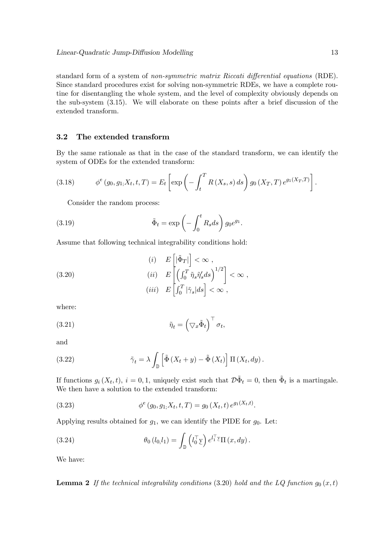standard form of a system of non-symmetric matrix Riccati differential equations (RDE). Since standard procedures exist for solving non-symmetric RDEs, we have a complete routine for disentangling the whole system, and the level of complexity obviously depends on the sub-system (3.15). We will elaborate on these points after a brief discussion of the extended transform.

#### 3.2 The extended transform

By the same rationale as that in the case of the standard transform, we can identify the system of ODEs for the extended transform:

(3.18) 
$$
\phi^e(g_0, g_1, X_t, t, T) = E_t \left[ \exp \left( - \int_t^T R(X_s, s) \, ds \right) g_0(X_T, T) e^{g_1(X_T, T)} \right].
$$

Consider the random process:

(3.19) 
$$
\tilde{\Phi}_t = \exp\left(-\int_0^t R_s ds\right) g_0 e^{g_1}.
$$

Assume that following technical integrability conditions hold:

(3.20)  
\n
$$
(i) \t E\left[|\tilde{\Phi}_T|\right] < \infty ,
$$
\n
$$
(ii) \t E\left[\left(\int_0^T \tilde{\eta}_s \tilde{\eta}'_s ds\right)^{1/2}\right] < \infty ,
$$
\n
$$
(iii) \t E\left[\int_0^T |\tilde{\gamma}_s| ds\right] < \infty ,
$$

where:

(3.21) 
$$
\tilde{\eta}_t = \left(\nabla_x \tilde{\Phi}_t\right)^\top \sigma_t,
$$

and

(3.22) 
$$
\tilde{\gamma}_t = \lambda \int_{\mathbb{D}} \left[ \tilde{\Phi} \left( X_t + y \right) - \tilde{\Phi} \left( X_t \right) \right] \Pi \left( X_t, dy \right).
$$

If functions  $g_i(X_t, t)$ ,  $i = 0, 1$ , uniquely exist such that  $\mathcal{D}\tilde{\Phi}_t = 0$ , then  $\tilde{\Phi}_t$  is a martingale. We then have a solution to the extended transform:

(3.23) 
$$
\phi^e(g_0, g_1, X_t, t, T) = g_0(X_t, t) e^{g_1(X_t, t)}.
$$

Applying results obtained for  $g_1$ , we can identify the PIDE for  $g_0$ . Let:

(3.24) 
$$
\theta_0(l_0,l_1) = \int_{\mathbb{D}} \left(l_0^{\top} \underline{y}\right) e^{l_1^{\top} \underline{y}} \Pi(x,dy).
$$

We have:

**Lemma 2** If the technical integrability conditions (3.20) hold and the LQ function  $g_0(x, t)$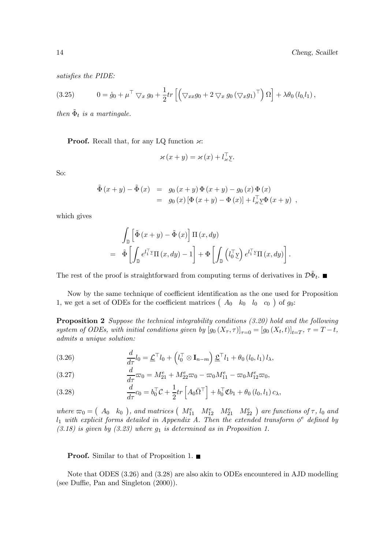.

satisfies the PIDE:

(3.25) 
$$
0 = \dot{g}_0 + \mu^\top \nabla_x g_0 + \frac{1}{2} tr \left[ \left( \nabla_{xx} g_0 + 2 \nabla_x g_0 (\nabla_x g_1)^\top \right) \Omega \right] + \lambda \theta_0 (l_0, l_1),
$$

then  $\tilde{\Phi}_t$  is a martingale.

**Proof.** Recall that, for any LQ function  $\varkappa$ :

$$
\varkappa(x + y) = \varkappa(x) + l_x^{\top} y.
$$

So:

$$
\tilde{\Phi}(x + y) - \tilde{\Phi}(x) = g_0(x + y) \Phi(x + y) - g_0(x) \Phi(x) \n= g_0(x) [\Phi(x + y) - \Phi(x)] + l_x^{\top} \Psi(x + y) ,
$$

which gives

$$
\int_{\mathbb{D}} \left[ \tilde{\Phi} (x + y) - \tilde{\Phi} (x) \right] \Pi (x, dy) \n= \tilde{\Phi} \left[ \int_{\mathbb{D}} e^{l_1^{\top} y} \Pi (x, dy) - 1 \right] + \Phi \left[ \int_{\mathbb{D}} \left( l_0^{\top} y \right) e^{l_1^{\top} y} \Pi (x, dy) \right]
$$

The rest of the proof is straightforward from computing terms of derivatives in  $\mathcal{D}\tilde{\Phi}_t$ .

Now by the same technique of coefficient identification as the one used for Proposition 1, we get a set of ODEs for the coefficient matrices  $\begin{pmatrix} A_0 & k_0 & l_0 & c_0 \end{pmatrix}$  of  $g_0$ :

Proposition 2 Suppose the technical integrability conditions (3.20) hold and the following system of ODEs, with initial conditions given by  $[g_0(X_\tau, \tau)]_{\tau=0} = [g_0(X_t, t)]_{t=T}$ ,  $\tau = T - t$ , admits a unique solution:

(3.26) 
$$
\frac{d}{d\tau}l_0 = \underline{\mathcal{L}}^\top l_0 + \left(l_0^\top \otimes \mathbf{I}_{n-m}\right)\underline{\mathcal{L}}^\top l_1 + \theta_0 \left(l_0, l_1\right)l_\lambda,
$$

(3.27) 
$$
\frac{d}{d\tau}\varpi_0 = M_{21}^e + M_{22}^e\varpi_0 - \varpi_0 M_{11}^e - \varpi_0 M_{12}^e\varpi_0,
$$

(3.28) 
$$
\frac{d}{d\tau}c_0 = b_0^\top \mathcal{C} + \frac{1}{2}tr\left[A_0\bar{\Omega}^\top\right] + b_0^\top \mathfrak{C}b_1 + \theta_0\left(l_0, l_1\right)c_\lambda,
$$

where  $\varpi_0 = (A_0, k_0)$ , and matrices  $(M_{11}^e, M_{12}^e, M_{21}^e, M_{22}^e)$  are functions of  $\tau$ ,  $l_0$  and  $l_1$  with explicit forms detailed in Appendix A. Then the extended transform  $\phi^e$  defined by  $(3.18)$  is given by  $(3.23)$  where  $g_1$  is determined as in Proposition 1.

**Proof.** Similar to that of Proposition 1. ■

Note that ODES (3.26) and (3.28) are also akin to ODEs encountered in AJD modelling (see Duffie, Pan and Singleton (2000)).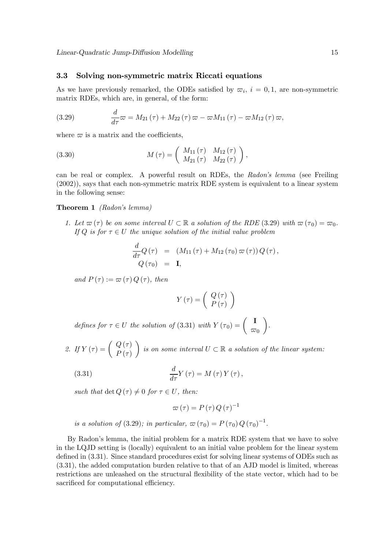#### 3.3 Solving non-symmetric matrix Riccati equations

As we have previously remarked, the ODEs satisfied by  $\varpi_i$ ,  $i = 0, 1$ , are non-symmetric matrix RDEs, which are, in general, of the form:

(3.29) 
$$
\frac{d}{d\tau}\varpi = M_{21}(\tau) + M_{22}(\tau)\varpi - \varpi M_{11}(\tau) - \varpi M_{12}(\tau)\varpi,
$$

where  $\varpi$  is a matrix and the coefficients,

(3.30) 
$$
M(\tau) = \begin{pmatrix} M_{11}(\tau) & M_{12}(\tau) \\ M_{21}(\tau) & M_{22}(\tau) \end{pmatrix},
$$

can be real or complex. A powerful result on RDEs, the Radon's lemma (see Freiling (2002)), says that each non-symmetric matrix RDE system is equivalent to a linear system in the following sense:

#### Theorem 1 (Radon's lemma)

1. Let  $\varpi(\tau)$  be on some interval  $U \subset \mathbb{R}$  a solution of the RDE (3.29) with  $\varpi(\tau_0) = \varpi_0$ . If Q is for  $\tau \in U$  the unique solution of the initial value problem

$$
\frac{d}{d\tau}Q(\tau) = (M_{11}(\tau) + M_{12}(\tau_0) \varpi(\tau)) Q(\tau),
$$
  
 
$$
Q(\tau_0) = \mathbf{I},
$$

and  $P(\tau) := \varpi(\tau) Q(\tau)$ , then

$$
Y\left(\tau\right) = \left(\begin{array}{c} Q\left(\tau\right) \\ P\left(\tau\right) \end{array}\right)
$$

defines for  $\tau \in U$  the solution of (3.31) with  $Y(\tau_0) = \begin{pmatrix} I \\ \varpi_0 \end{pmatrix}$  $\setminus$ .

2. If  $Y(\tau) = \begin{pmatrix} Q(\tau) \\ P(\tau) \end{pmatrix}$  $\setminus$ is on some interval  $U \subset \mathbb{R}$  a solution of the linear system:

(3.31) 
$$
\frac{d}{d\tau}Y(\tau) = M(\tau)Y(\tau),
$$

such that det  $Q(\tau) \neq 0$  for  $\tau \in U$ , then:

$$
\varpi \left( \tau \right) =P\left( \tau \right) Q\left( \tau \right) ^{-1}
$$

is a solution of (3.29); in particular,  $\varpi(\tau_0) = P(\tau_0) Q(\tau_0)^{-1}$ .

By Radon's lemma, the initial problem for a matrix RDE system that we have to solve in the LQJD setting is (locally) equivalent to an initial value problem for the linear system defined in (3.31). Since standard procedures exist for solving linear systems of ODEs such as (3.31), the added computation burden relative to that of an AJD model is limited, whereas restrictions are unleashed on the structural flexibility of the state vector, which had to be sacrificed for computational efficiency.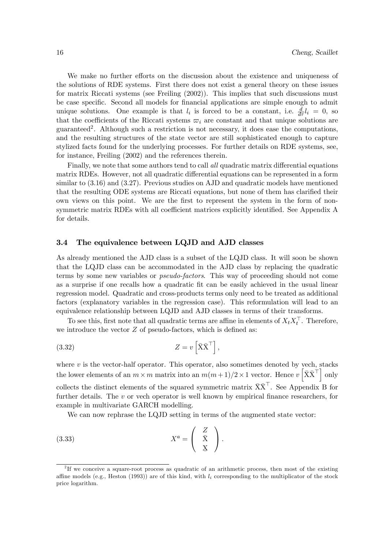We make no further efforts on the discussion about the existence and uniqueness of the solutions of RDE systems. First there does not exist a general theory on these issues for matrix Riccati systems (see Freiling (2002)). This implies that such discussions must be case specific. Second all models for financial applications are simple enough to admit unique solutions. One example is that  $l_i$  is forced to be a constant, i.e.  $\frac{d}{d\tau}l_i = 0$ , so that the coefficients of the Riccati systems  $\varpi_i$  are constant and that unique solutions are guaranteed2. Although such a restriction is not necessary, it does ease the computations, and the resulting structures of the state vector are still sophisticated enough to capture stylized facts found for the underlying processes. For further details on RDE systems, see, for instance, Freiling (2002) and the references therein.

Finally, we note that some authors tend to call all quadratic matrix differential equations matrix RDEs. However, not all quadratic differential equations can be represented in a form similar to (3.16) and (3.27). Previous studies on AJD and quadratic models have mentioned that the resulting ODE systems are Riccati equations, but none of them has clarified their own views on this point. We are the first to represent the system in the form of nonsymmetric matrix RDEs with all coefficient matrices explicitly identified. See Appendix A for details.

#### 3.4 The equivalence between LQJD and AJD classes

As already mentioned the AJD class is a subset of the LQJD class. It will soon be shown that the LQJD class can be accommodated in the AJD class by replacing the quadratic terms by some new variables or pseudo-factors. This way of proceeding should not come as a surprise if one recalls how a quadratic fit can be easily achieved in the usual linear regression model. Quadratic and cross-products terms only need to be treated as additional factors (explanatory variables in the regression case). This reformulation will lead to an equivalence relationship between LQJD and AJD classes in terms of their transforms.

To see this, first note that all quadratic terms are affine in elements of  $X_t X_t^{\perp}$ . Therefore, we introduce the vector  $Z$  of pseudo-factors, which is defined as:

(3.32) 
$$
Z = v \left[ \bar{\mathbf{X}} \bar{\mathbf{X}}^{\top} \right],
$$

where  $v$  is the vector-half operator. This operator, also sometimes denoted by vech, stacks the lower elements of an  $m \times m$  matrix into an  $m(m+1)/2 \times 1$  vector. Hence  $v\left[\bar{X}\bar{X}^{\dagger}\right]$  only collects the distinct elements of the squared symmetric matrix  $\bar{X} \bar{X}^{\top}$ . See Appendix B for further details. The v or vech operator is well known by empirical finance researchers, for example in multivariate GARCH modelling.

We can now rephrase the LQJD setting in terms of the augmented state vector:

(3.33) 
$$
X^a = \begin{pmatrix} Z \\ \bar{X} \\ X \end{pmatrix}.
$$

<sup>&</sup>lt;sup>2</sup>If we conceive a square-root process as quadratic of an arithmetic process, then most of the existing affine models (e.g., Heston (1993)) are of this kind, with  $l_i$  corresponding to the multiplicator of the stock price logarithm.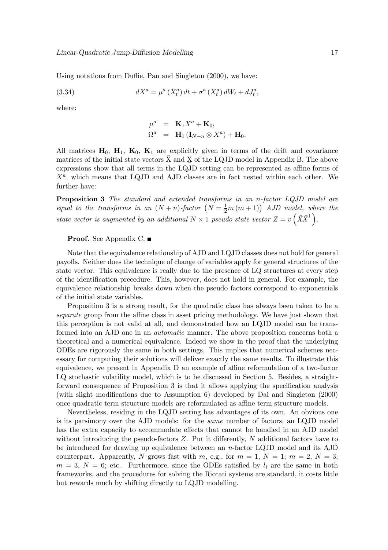Using notations from Duffie, Pan and Singleton (2000), we have:

(3.34) 
$$
dX^{a} = \mu^{a} (X_{t}^{a}) dt + \sigma^{a} (X_{t}^{a}) dW_{t} + dJ_{t}^{a},
$$

where:

$$
\mu^{a} = \mathbf{K}_{1}X^{a} + \mathbf{K}_{0},
$$
  
\n
$$
\Omega^{a} = \mathbf{H}_{1} (\mathbf{I}_{N+n} \otimes X^{a}) + \mathbf{H}_{0}.
$$

All matrices  $H_0$ ,  $H_1$ ,  $K_0$ ,  $K_1$  are explicitly given in terms of the drift and covariance matrices of the initial state vectors  $\bar{X}$  and  $\underline{X}$  of the LQJD model in Appendix B. The above expressions show that all terms in the LQJD setting can be represented as affine forms of  $X^a$ , which means that LQJD and AJD classes are in fact nested within each other. We further have:

Proposition 3 The standard and extended transforms in an n-factor LQJD model are equal to the transforms in an  $(N + n)$ -factor  $(N = \frac{1}{2}m(m + 1))$  AJD model, where the state vector is augmented by an additional  $N \times 1$  pseudo state vector  $Z = v\left(\bar{X}\bar{X}^{\top}\right)$ .

#### Proof. See Appendix C. ■

Note that the equivalence relationship of AJD and LQJD classes does not hold for general payoffs. Neither does the technique of change of variables apply for general structures of the state vector. This equivalence is really due to the presence of LQ structures at every step of the identification precedure. This, however, does not hold in general. For example, the equivalence relationship breaks down when the pseudo factors correspond to exponentials of the initial state variables.

Proposition 3 is a strong result, for the quadratic class has always been taken to be a separate group from the affine class in asset pricing methodology. We have just shown that this perception is not valid at all, and demonstrated how an LQJD model can be transformed into an AJD one in an automatic manner. The above proposition concerns both a theoretical and a numerical equivalence. Indeed we show in the proof that the underlying ODEs are rigorously the same in both settings. This implies that numerical schemes necessary for computing their solutions will deliver exactly the same results. To illustrate this equivalence, we present in Appendix D an example of affine reformulation of a two-factor LQ stochastic volatility model, which is to be discussed in Section 5. Besides, a straightforward consequence of Proposition 3 is that it allows applying the specification analysis (with slight modifications due to Assumption 6) developed by Dai and Singleton (2000) once quadratic term structure models are reformulated as affine term structure models.

Nevertheless, residing in the LQJD setting has advantages of its own. An obvious one is its parsimony over the AJD models: for the same number of factors, an LQJD model has the extra capacity to accommodate effects that cannot be handled in an AJD model without introducing the pseudo-factors  $Z$ . Put it differently,  $N$  additional factors have to be introduced for drawing up equivalence between an n-factor LQJD model and its AJD counterpart. Apparently, N grows fast with m, e.g., for  $m = 1, N = 1$ ;  $m = 2, N = 3$ ;  $m = 3, N = 6$ ; etc.. Furthermore, since the ODEs satisfied by  $l_i$  are the same in both frameworks, and the procedures for solving the Riccati systems are standard, it costs little but rewards much by shifting directly to LQJD modelling.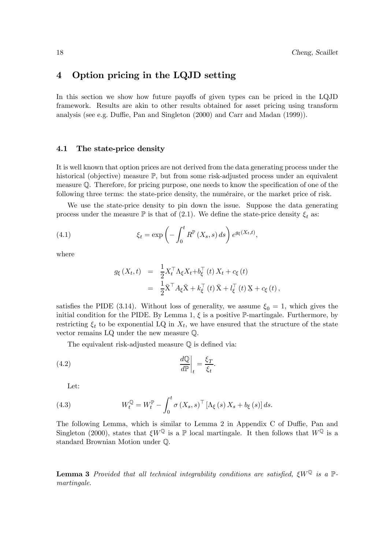## 4 Option pricing in the LQJD setting

In this section we show how future payoffs of given types can be priced in the LQJD framework. Results are akin to other results obtained for asset pricing using transform analysis (see e.g. Duffie, Pan and Singleton (2000) and Carr and Madan (1999)).

#### 4.1 The state-price density

It is well known that option prices are not derived from the data generating process under the historical (objective) measure  $\mathbb{P}$ , but from some risk-adjusted process under an equivalent measure Q. Therefore, for pricing purpose, one needs to know the specification of one of the following three terms: the state-price density, the numéraire, or the market price of risk.

We use the state-price density to pin down the issue. Suppose the data generating process under the measure  $\mathbb P$  is that of (2.1). We define the state-price density  $\xi_t$  as:

(4.1) 
$$
\xi_t = \exp\left(-\int_0^t R^{\mathbb{P}}\left(X_s, s\right) ds\right) e^{g_{\xi}(X_t, t)},
$$

where

$$
g_{\xi}(X_t, t) = \frac{1}{2} X_t^{\top} \Lambda_{\xi} X_t + b_{\xi}^{\top} (t) X_t + c_{\xi} (t)
$$
  

$$
= \frac{1}{2} \bar{X}^{\top} A_{\xi} \bar{X} + k_{\xi}^{\top} (t) \bar{X} + l_{\xi}^{\top} (t) X + c_{\xi} (t),
$$

satisfies the PIDE (3.14). Without loss of generality, we assume  $\xi_0 = 1$ , which gives the initial condition for the PIDE. By Lemma 1,  $\xi$  is a positive P-martingale. Furthermore, by restricting  $\xi_t$  to be exponential LQ in  $X_t$ , we have ensured that the structure of the state vector remains LQ under the new measure Q.

.

The equivalent risk-adjusted measure Q is defined via:

$$
\left. \frac{d\mathbb{Q}}{d\mathbb{P}} \right|_t = \frac{\xi_T}{\xi_t}
$$

Let:

(4.3) 
$$
W_t^{\mathbb{Q}} = W_t^{\mathbb{P}} - \int_0^t \sigma(X_s, s)^{\top} \left[ \Lambda_{\xi}(s) X_s + b_{\xi}(s) \right] ds.
$$

The following Lemma, which is similar to Lemma 2 in Appendix C of Duffie, Pan and Singleton (2000), states that  $\xi W^{\mathbb{Q}}$  is a  $\mathbb{P}$  local martingale. It then follows that  $W^{\mathbb{Q}}$  is a standard Brownian Motion under Q.

**Lemma 3** Provided that all technical integrability conditions are satisfied,  $\epsilon W^{\mathbb{Q}}$  is a  $\mathbb{P}$ martingale.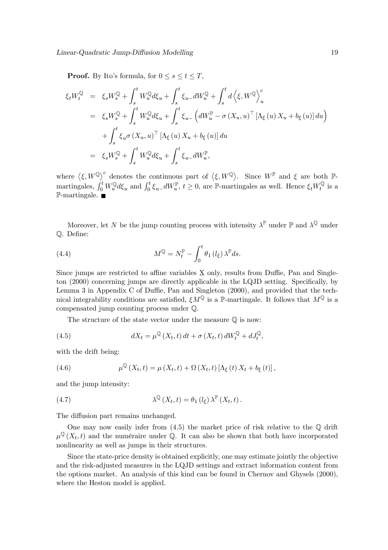**Proof.** By Ito's formula, for  $0 \leq s \leq t \leq T$ ,

$$
\xi_t W_t^{\mathbb{Q}} = \xi_s W_s^{\mathbb{Q}} + \int_s^t W_u^{\mathbb{Q}} d\xi_u + \int_s^t \xi_{u-} dW_u^{\mathbb{Q}} + \int_s^t d\left\langle \xi, W^{\mathbb{Q}} \right\rangle_u^c
$$
  
\n
$$
= \xi_s W_s^{\mathbb{Q}} + \int_s^t W_u^{\mathbb{Q}} d\xi_u + \int_s^t \xi_{u-} \left( dW_u^{\mathbb{P}} - \sigma \left( X_u, u \right)^\top \left[ \Lambda_\xi \left( u \right) X_u + b_\xi \left( u \right) \right] du \right)
$$
  
\n
$$
+ \int_s^t \xi_u \sigma \left( X_u, u \right)^\top \left[ \Lambda_\xi \left( u \right) X_u + b_\xi \left( u \right) \right] du
$$
  
\n
$$
= \xi_s W_s^{\mathbb{Q}} + \int_s^t W_u^{\mathbb{Q}} d\xi_u + \int_s^t \xi_{u-} dW_u^{\mathbb{P}},
$$

where  $\langle \xi, W^{\mathbb{Q}} \rangle^c$  denotes the continuous part of  $\langle \xi, W^{\mathbb{Q}} \rangle$ . Since  $W^{\mathbb{P}}$  and  $\xi$  are both  $\mathbb{P}$ martingales,  $\int_0^t W_u^{\mathbb{Q}} d\xi_u$  and  $\int_0^t \xi_{u-} dW_u^{\mathbb{P}}, t \ge 0$ , are  $\mathbb{P}$ -martingales as well. Hence  $\xi_t W_t^{\mathbb{Q}}$  is a  $\mathbb{P}\text{-martincale.}$ 

Moreover, let N be the jump counting process with intensity  $\lambda^{\mathbb{P}}$  under  $\mathbb{P}$  and  $\lambda^{\mathbb{Q}}$  under Q. Define:

(4.4) 
$$
M^{\mathbb{Q}} = N_t^{\mathbb{P}} - \int_0^t \theta_1(l_\xi) \lambda^{\mathbb{P}} ds.
$$

Since jumps are restricted to affine variables  $X$  only, results from Duffie, Pan and Singleton (2000) concerning jumps are directly applicable in the LQJD setting. Specifically, by Lemma 3 in Appendix C of Duffie, Pan and Singleton (2000), and provided that the technical integrability conditions are satisfied,  $\xi M^{\mathbb{Q}}$  is a P-martingale. It follows that  $M^{\mathbb{Q}}$  is a compensated jump counting process under Q.

The structure of the state vector under the measure Q is now:

(4.5) 
$$
dX_t = \mu^{\mathbb{Q}}(X_t, t) dt + \sigma(X_t, t) dW_t^{\mathbb{Q}} + dJ_t^{\mathbb{Q}},
$$

with the drift being:

(4.6) 
$$
\mu^{\mathbb{Q}}(X_t, t) = \mu(X_t, t) + \Omega(X_t, t) [\Lambda_{\xi}(t) X_t + b_{\xi}(t)],
$$

and the jump intensity:

(4.7) 
$$
\lambda^{\mathbb{Q}}(X_t,t) = \theta_1(l_{\xi})\,\lambda^{\mathbb{P}}(X_t,t).
$$

The diffusion part remains unchanged.

One may now easily infer from  $(4.5)$  the market price of risk relative to the  $\mathbb{O}$  drift  $\mu^{\mathbb{Q}}(X_t,t)$  and the numéraire under  $\mathbb{Q}$ . It can also be shown that both have incorporated nonlinearity as well as jumps in their structures.

Since the state-price density is obtained explicitly, one may estimate jointly the objective and the risk-adjusted measures in the LQJD settings and extract information content from the options market. An analysis of this kind can be found in Chernov and Ghysels (2000), where the Heston model is applied.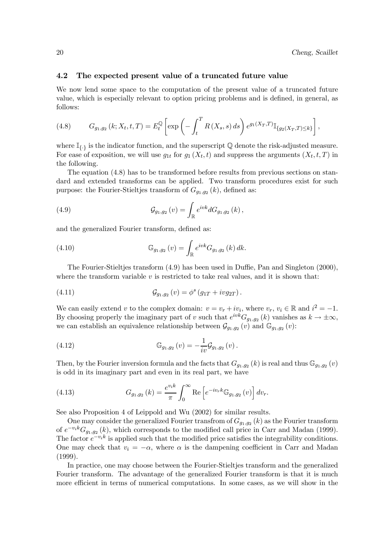#### 4.2 The expected present value of a truncated future value

We now lend some space to the computation of the present value of a truncated future value, which is especially relevant to option pricing problems and is defined, in general, as follows:

(4.8) 
$$
G_{g_1,g_2}(k;X_t,t,T) = E_t^{\mathbb{Q}} \left[ \exp \left( - \int_t^T R(X_s,s) \, ds \right) e^{g_1(X_T,T)} \mathbb{I}_{\{g_2(X_T,T) \leq k\}} \right],
$$

where  $\mathbb{I}_{\{\cdot\}}$  is the indicator function, and the superscript  $\mathbb Q$  denote the risk-adjusted measure. For ease of exposition, we will use  $g_{1t}$  for  $g_1(X_t, t)$  and suppress the arguments  $(X_t, t, T)$  in the following.

The equation (4.8) has to be transformed before results from previous sections on standard and extended transforms can be applied. Two transform procedures exist for such purpose: the Fourier-Stieltjes transform of  $G_{g_1,g_2}(k)$ , defined as:

(4.9) 
$$
\mathcal{G}_{g_1,g_2}(v) = \int_{\mathbb{R}} e^{ivk} dG_{g_1,g_2}(k),
$$

and the generalized Fourier transform, defined as:

(4.10) 
$$
\mathbb{G}_{g_1,g_2}(v) = \int_{\mathbb{R}} e^{ivk} G_{g_1,g_2}(k) dk.
$$

The Fourier-Stieltjes transform (4.9) has been used in Duffie, Pan and Singleton (2000), where the transform variable  $v$  is restricted to take real values, and it is shown that:

(4.11) 
$$
\mathcal{G}_{g_1,g_2}(v) = \phi^s(g_{1T} + ivg_{2T}).
$$

We can easily extend v to the complex domain:  $v = v_r + iv_i$ , where  $v_r$ ,  $v_i \in \mathbb{R}$  and  $i^2 = -1$ . By choosing properly the imaginary part of v such that  $e^{ivk}G_{q_1,q_2}(k)$  vanishes as  $k \to \pm \infty$ , we can establish an equivalence relationship between  $\mathcal{G}_{g_1,g_2}(v)$  and  $\mathbb{G}_{g_1,g_2}(v)$ :

(4.12) 
$$
\mathbb{G}_{g_1,g_2}(v) = -\frac{1}{iv}\mathcal{G}_{g_1,g_2}(v).
$$

Then, by the Fourier inversion formula and the facts that  $G_{g_1,g_2}(k)$  is real and thus  $\mathbb{G}_{g_1,g_2}(v)$ is odd in its imaginary part and even in its real part, we have

(4.13) 
$$
G_{g_1,g_2}(k) = \frac{e^{v_i k}}{\pi} \int_0^\infty \text{Re} \left[ e^{-i v_r k} \mathbb{G}_{g_1,g_2}(v) \right] dv_r.
$$

See also Proposition 4 of Leippold and Wu (2002) for similar results.

One may consider the generalized Fourier transfrom of  $G_{g_1,g_2}(k)$  as the Fourier transform of  $e^{-v_i k} G_{g_1,g_2}(k)$ , which corresponds to the modified call price in Carr and Madan (1999). The factor  $e^{-v_i k}$  is applied such that the modified price satisfies the integrability conditions. One may check that  $v_i = -\alpha$ , where  $\alpha$  is the dampening coefficient in Carr and Madan (1999).

In practice, one may choose between the Fourier-Stieltjes transform and the generalized Fourier transform. The advantage of the generalized Fourier transform is that it is much more efficient in terms of numerical computations. In some cases, as we will show in the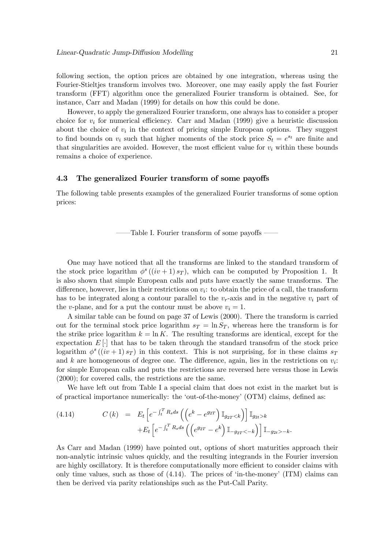following section, the option prices are obtained by one integration, whereas using the Fourier-Stieltjes transform involves two. Moreover, one may easily apply the fast Fourier transform (FFT) algorithm once the generalized Fourier transform is obtained. See, for instance, Carr and Madan (1999) for details on how this could be done.

However, to apply the generalized Fourier transform, one always has to consider a proper choice for  $v_i$  for numerical efficiency. Carr and Madan (1999) give a heuristic discussion about the choice of  $v_i$  in the context of pricing simple European options. They suggest to find bounds on  $v_i$  such that higher moments of the stock price  $S_t = e^{s_t}$  are finite and that singularities are avoided. However, the most efficient value for  $v_i$  within these bounds remains a choice of experience.

#### 4.3 The generalized Fourier transform of some payoffs

The following table presents examples of the generalized Fourier transforms of some option prices:

––Table I. Fourier transform of some payoffs ––

One may have noticed that all the transforms are linked to the standard transform of the stock price logarithm  $\phi^s((iv+1) s_T)$ , which can be computed by Proposition 1. It is also shown that simple European calls and puts have exactly the same transforms. The difference, however, lies in their restrictions on  $v_i$ : to obtain the price of a call, the transform has to be integrated along a contour parallel to the  $v_r$ -axis and in the negative  $v_i$  part of the v-plane, and for a put the contour must be above  $v_i = 1$ .

A similar table can be found on page 37 of Lewis (2000). There the transform is carried out for the terminal stock price logarithm  $s_T = \ln S_T$ , whereas here the transform is for the strike price logarithm  $k = \ln K$ . The resulting transforms are identical, except for the expectation  $E[\cdot]$  that has to be taken through the standard transofrm of the stock price logarithm  $\phi^s((iv+1) s_T)$  in this context. This is not surprising, for in these claims  $s_T$ and k are homogeneous of degree one. The difference, again, lies in the restrictions on  $v_i$ : for simple European calls and puts the restrictions are reversed here versus those in Lewis (2000); for covered calls, the restrictions are the same.

We have left out from Table I a special claim that does not exist in the market but is of practical importance numerically: the 'out-of-the-money' (OTM) claims, defined as:

(4.14) 
$$
C(k) = E_t \left[ e^{-\int_t^T R_s ds} \left( \left( e^k - e^{g_{2T}} \right) \mathbb{I}_{g_{2T} < k} \right) \right] \mathbb{I}_{g_{2t} > k} + E_t \left[ e^{-\int_t^T R_s ds} \left( \left( e^{g_{2T}} - e^k \right) \mathbb{I}_{-g_{2T} < -k} \right) \right] \mathbb{I}_{-g_{2t} > -k}.
$$

As Carr and Madan (1999) have pointed out, options of short maturities approach their non-analytic intrinsic values quickly, and the resulting integrands in the Fourier inversion are highly oscillatory. It is therefore computationally more efficient to consider claims with only time values, such as those of  $(4.14)$ . The prices of 'in-the-money'  $(ITM)$  claims can then be derived via parity relationships such as the Put-Call Parity.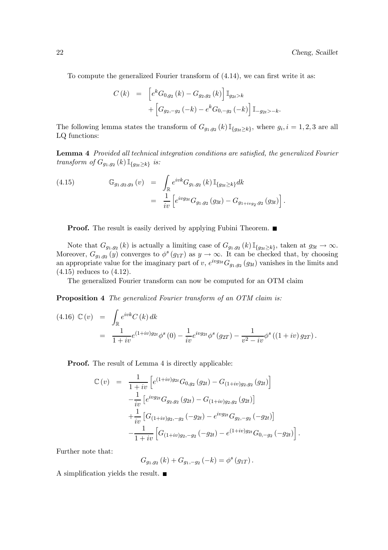.

.

To compute the generalized Fourier transform of (4.14), we can first write it as:

$$
C(k) = \left[e^{k}G_{0,g_2}(k) - G_{g_2,g_2}(k)\right] \mathbb{I}_{g_{2t}>k}
$$

$$
+ \left[G_{g_2,-g_2}(-k) - e^{k}G_{0,-g_2}(-k)\right] \mathbb{I}_{-g_{2t}>-k}.
$$

The following lemma states the transform of  $G_{g_1,g_2}(k)\mathbb{I}_{\{g_3t>k\}}$ , where  $g_i, i = 1, 2, 3$  are all LQ functions:

Lemma 4 Provided all technical integration conditions are satisfied, the generalized Fourier transform of  $G_{g_1,g_2}(k)\mathbb{I}_{\{g_{3t}\geq k\}}$  is:

(4.15) 
$$
\mathbb{G}_{g_1, g_2, g_3}(v) = \int_{\mathbb{R}} e^{ivk} G_{g_1, g_2}(k) \mathbb{I}_{\{g_{3t} \ge k\}} dk
$$

$$
= \frac{1}{iv} \left[ e^{ivg_{3t}} G_{g_1, g_2}(g_{3t}) - G_{g_{1+ivg_2}, g_2}(g_{3t}) \right]
$$

**Proof.** The result is easily derived by applying Fubini Theorem. ■

Note that  $G_{g_1,g_2}(k)$  is actually a limiting case of  $G_{g_1,g_2}(k)\mathbb{I}_{\{g_3t\geq k\}}$ , taken at  $g_{3t} \to \infty$ . Moreover,  $G_{g_1,g_2}(y)$  converges to  $\phi^s(g_{1T})$  as  $y \to \infty$ . It can be checked that, by choosing an appropriate value for the imaginary part of v,  $e^{i\nu g_{3t}}G_{g_1,g_2}(g_{3t})$  vanishes in the limits and (4.15) reduces to (4.12).

The generalized Fourier transform can now be computed for an OTM claim

Proposition 4 The generalized Fourier transform of an OTM claim is:

$$
(4.16) \mathbb{C}(v) = \int_{\mathbb{R}} e^{ivk} C(k) dk
$$
  
= 
$$
\frac{1}{1+iv} e^{(1+iv)g_{2t}} \phi^{s}(0) - \frac{1}{iv} e^{ivg_{2t}} \phi^{s}(g_{2T}) - \frac{1}{v^{2} - iv} \phi^{s}((1+iv) g_{2T}).
$$

Proof. The result of Lemma 4 is directly applicable:

$$
\mathbb{C}(v) = \frac{1}{1+iv} \left[ e^{(1+iv)g_{2t}} G_{0,g_2}(g_{2t}) - G_{(1+iv)g_2,g_2}(g_{2t}) \right]
$$
  
\n
$$
- \frac{1}{iv} \left[ e^{ivg_{2t}} G_{g_2,g_2}(g_{2t}) - G_{(1+iv)g_2,g_2}(g_{2t}) \right]
$$
  
\n
$$
+ \frac{1}{iv} \left[ G_{(1+iv)g_2,-g_2}(-g_{2t}) - e^{ivg_{2t}} G_{g_2,-g_2}(-g_{2t}) \right]
$$
  
\n
$$
- \frac{1}{1+iv} \left[ G_{(1+iv)g_2,-g_2}(-g_{2t}) - e^{(1+iv)g_{2t}} G_{0,-g_2}(-g_{2t}) \right]
$$

Further note that:

$$
G_{g_1,g_2}(k) + G_{g_1,-g_2}(-k) = \phi^s(g_{1T}).
$$

A simplification yields the result.  $\blacksquare$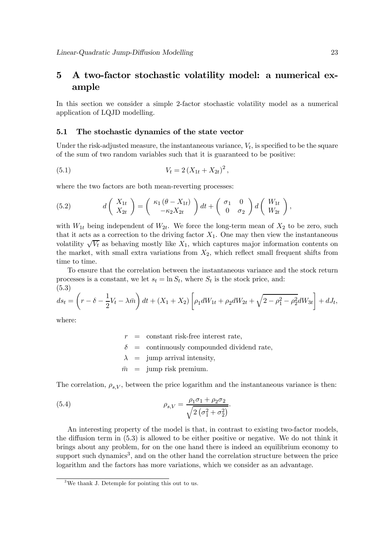## 5 A two-factor stochastic volatility model: a numerical example

In this section we consider a simple 2-factor stochastic volatility model as a numerical application of LQJD modelling.

#### 5.1 The stochastic dynamics of the state vector

Under the risk-adjusted measure, the instantaneous variance,  $V_t$ , is specified to be the square of the sum of two random variables such that it is guaranteed to be positive:

(5.1) 
$$
V_t = 2(X_{1t} + X_{2t})^2,
$$

where the two factors are both mean-reverting processes:

(5.2) 
$$
d\begin{pmatrix} X_{1t} \\ X_{2t} \end{pmatrix} = \begin{pmatrix} \kappa_1 (\theta - X_{1t}) \\ -\kappa_2 X_{2t} \end{pmatrix} dt + \begin{pmatrix} \sigma_1 & 0 \\ 0 & \sigma_2 \end{pmatrix} d \begin{pmatrix} W_{1t} \\ W_{2t} \end{pmatrix},
$$

with  $W_{1t}$  being independent of  $W_{2t}$ . We force the long-term mean of  $X_2$  to be zero, such that it acts as a correction to the driving factor  $X_1$ . One may then view the instantaneous volatility  $\sqrt{V_t}$  as behaving mostly like  $X_1$ , which captures major information contents on the market, with small extra variations from  $X_2$ , which reflect small frequent shifts from time to time.

To ensure that the correlation between the instantaneous variance and the stock return processes is a constant, we let  $s_t = \ln S_t$ , where  $S_t$  is the stock price, and: (5.3)

$$
ds_t = \left(r - \delta - \frac{1}{2}V_t - \lambda \bar{m}\right)dt + (X_1 + X_2)\left[\rho_1 dW_{1t} + \rho_2 dW_{2t} + \sqrt{2 - \rho_1^2 - \rho_2^2}dW_{3t}\right] + dJ_t,
$$

where:

 $r =$  constant risk-free interest rate,  $\delta$  = continuously compounded dividend rate,  $\lambda$  = jump arrival intensity,  $\bar{m}$  = jump risk premium.

The correlation,  $\rho_{s,V}$ , between the price logarithm and the instantaneous variance is then:

(5.4) 
$$
\rho_{s,V} = \frac{\rho_1 \sigma_1 + \rho_2 \sigma_2}{\sqrt{2(\sigma_1^2 + \sigma_2^2)}}.
$$

An interesting property of the model is that, in contrast to existing two-factor models, the diffusion term in (5.3) is allowed to be either positive or negative. We do not think it brings about any problem, for on the one hand there is indeed an equilibrium economy to support such dynamics<sup>3</sup>, and on the other hand the correlation structure between the price logarithm and the factors has more variations, which we consider as an advantage.

 $3$ We thank J. Detemple for pointing this out to us.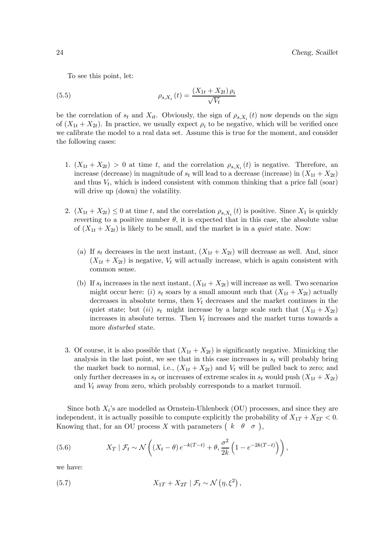To see this point, let:

(5.5) 
$$
\rho_{s,X_i}(t) = \frac{(X_{1t} + X_{2t})\,\rho_i}{\sqrt{V_t}}
$$

be the correlation of  $s_t$  and  $X_{it}$ . Obviously, the sign of  $\rho_{s,X_i}(t)$  now depends on the sign of  $(X_{1t} + X_{2t})$ . In practice, we usually expect  $\rho_i$  to be negative, which will be verified once we calibrate the model to a real data set. Assume this is true for the moment, and consider the following cases:

- 1.  $(X_{1t} + X_{2t}) > 0$  at time t, and the correlation  $\rho_{s,X_i}(t)$  is negative. Therefore, an increase (decrease) in magnitude of  $s_t$  will lead to a decrease (increase) in  $(X_{1t} + X_{2t})$ and thus  $V_t$ , which is indeed consistent with common thinking that a price fall (soar) will drive up (down) the volatility.
- 2.  $(X_{1t} + X_{2t}) \leq 0$  at time t, and the correlation  $\rho_{s,X_i}(t)$  is positive. Since  $X_1$  is quickly reverting to a positive number  $\theta$ , it is expected that in this case, the absolute value of  $(X_{1t} + X_{2t})$  is likely to be small, and the market is in a *quiet* state. Now:
	- (a) If  $s_t$  decreases in the next instant,  $(X_{1t} + X_{2t})$  will decrease as well. And, since  $(X_{1t} + X_{2t})$  is negative,  $V_t$  will actually increase, which is again consistent with common sense.
	- (b) If  $s_t$  increases in the next instant,  $(X_{1t} + X_{2t})$  will increase as well. Two scenarios might occur here: (i)  $s_t$  soars by a small amount such that  $(X_{1t} + X_{2t})$  actually decreases in absolute terms, then  $V_t$  decreases and the market continues in the quiet state; but (ii)  $s_t$  might increase by a large scale such that  $(X_{1t} + X_{2t})$ increases in absolute terms. Then  $V_t$  increases and the market turns towards a more disturbed state.
- 3. Of course, it is also possible that  $(X_{1t} + X_{2t})$  is significantly negative. Mimicking the analysis in the last point, we see that in this case increases in  $s_t$  will probably bring the market back to normal, i.e.,  $(X_{1t} + X_{2t})$  and  $V_t$  will be pulled back to zero; and only further decreases in  $s_t$  or increases of extreme scales in  $s_t$  would push  $(X_{1t} + X_{2t})$ and  $V_t$  away from zero, which probably corresponds to a market turmoil.

Since both  $X_i$ 's are modelled as Ornstein-Uhlenbeck (OU) processes, and since they are independent, it is actually possible to compute explicitly the probability of  $X_{1T} + X_{2T} < 0$ . Knowing that, for an OU process X with parameters  $(k \theta \sigma)$ ,

(5.6) 
$$
X_T | \mathcal{F}_t \sim \mathcal{N}\left((X_t - \theta)e^{-k(T-t)} + \theta, \frac{\sigma^2}{2k}\left(1 - e^{-2k(T-t)}\right)\right),
$$

we have:

(5.7) 
$$
X_{1T} + X_{2T} | \mathcal{F}_t \sim \mathcal{N}(\eta, \xi^2),
$$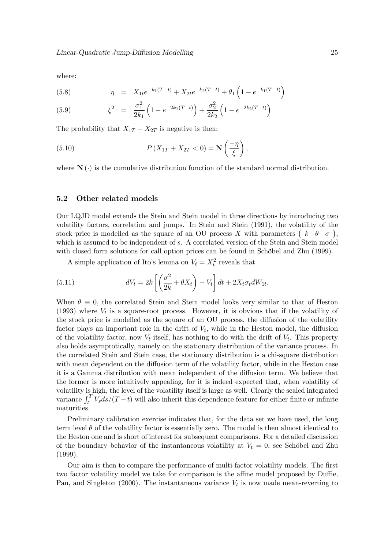where:

(5.8) 
$$
\eta = X_{1t}e^{-k_1(T-t)} + X_{2t}e^{-k_2(T-t)} + \theta_1\left(1 - e^{-k_1(T-t)}\right)
$$

(5.9) 
$$
\xi^2 = \frac{\sigma_1^2}{2k_1} \left( 1 - e^{-2k_1(T-t)} \right) + \frac{\sigma_2^2}{2k_2} \left( 1 - e^{-2k_2(T-t)} \right)
$$

The probability that  $X_{1T} + X_{2T}$  is negative is then:

(5.10) 
$$
P\left(X_{1T}+X_{2T}<0\right)=\mathbf{N}\left(\frac{-\eta}{\xi}\right),
$$

where  $N(\cdot)$  is the cumulative distribution function of the standard normal distribution.

#### 5.2 Other related models

Our LQJD model extends the Stein and Stein model in three directions by introducing two volatility factors, correlation and jumps. In Stein and Stein (1991), the volatility of the stock price is modelled as the square of an OU process X with parameters  $(k \theta \sigma)$ , which is assumed to be independent of s. A correlated version of the Stein and Stein model with closed form solutions for call option prices can be found in Schöbel and Zhu (1999).

A simple application of Ito's lemma on  $V_t = X_t^2$  reveals that

(5.11) 
$$
dV_t = 2k \left[ \left( \frac{\sigma^2}{2k} + \theta X_t \right) - V_t \right] dt + 2X_t \sigma_t dW_{1t}.
$$

When  $\theta \equiv 0$ , the correlated Stein and Stein model looks very similar to that of Heston (1993) where  $V_t$  is a square-root process. However, it is obvious that if the volatility of the stock price is modelled as the square of an OU process, the diffusion of the volatility factor plays an important role in the drift of  $V_t$ , while in the Heston model, the diffusion of the volatility factor, now  $V_t$  itself, has nothing to do with the drift of  $V_t$ . This property also holds asymptotically, namely on the stationary distribution of the variance process. In the correlated Stein and Stein case, the stationary distribution is a chi-square distribution with mean dependent on the diffusion term of the volatility factor, while in the Heston case it is a Gamma distribution with mean independent of the diffusion term. We believe that the former is more intuitively appealing, for it is indeed expected that, when volatility of volatility is high, the level of the volatility itself is large as well. Clearly the scaled integrated variance  $\int_t^T V_s ds/(T-t)$  will also inherit this dependence feature for either finite or infinite maturities.

Preliminary calibration exercise indicates that, for the data set we have used, the long term level  $\theta$  of the volatility factor is essentially zero. The model is then almost identical to the Heston one and is short of interest for subsequent comparisons. For a detailed discussion of the boundary behavior of the instantaneous volatility at  $V_t = 0$ , see Schöbel and Zhu (1999).

Our aim is then to compare the performance of multi-factor volatility models. The first two factor volatility model we take for comparison is the affine model proposed by Duffie, Pan, and Singleton (2000). The instantaneous variance  $V_t$  is now made mean-reverting to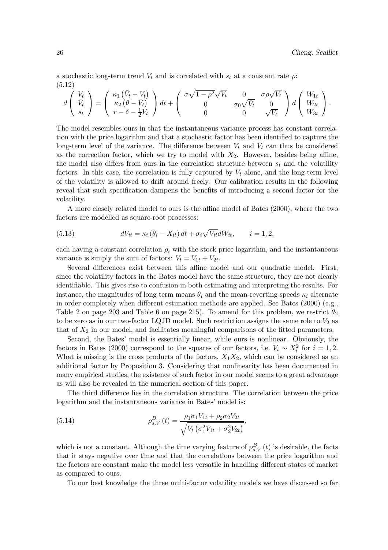a stochastic long-term trend  $\bar{V}_t$  and is correlated with  $s_t$  at a constant rate  $\rho$ . (5.12)

$$
d\left(\begin{array}{c} V_t \\ \bar{V}_t \\ s_t \end{array}\right) = \left(\begin{array}{c} \kappa_1\left(\bar{V}_t - V_t\right) \\ \kappa_2\left(\theta - \bar{V}_t\right) \\ r - \delta - \frac{1}{2}V_t \end{array}\right)dt + \left(\begin{array}{ccc} \sigma\sqrt{1-\rho^2}\sqrt{V_t} & 0 & \sigma\rho\sqrt{V_t} \\ 0 & \sigma_0\sqrt{\bar{V}_t} & 0 \\ 0 & 0 & \sqrt{V_t} \end{array}\right)d\left(\begin{array}{c} W_{1t} \\ W_{2t} \\ W_{3t} \end{array}\right).
$$

The model resembles ours in that the instantaneous variance process has constant correlation with the price logarithm and that a stochastic factor has been identified to capture the long-term level of the variance. The difference between  $V_t$  and  $\bar{V}_t$  can thus be considered as the correction factor, which we try to model with  $X_2$ . However, besides being affine, the model also differs from ours in the correlation structure between  $s_t$  and the volatility factors. In this case, the correlation is fully captured by  $V_t$  alone, and the long-term level of the volatility is allowed to drift around freely. Our calibration results in the following reveal that such specification dampens the benefits of introducing a second factor for the volatility.

A more closely related model to ours is the affine model of Bates (2000), where the two factors are modelled as square-root processes:

(5.13) 
$$
dV_{it} = \kappa_i (\theta_i - X_{it}) dt + \sigma_i \sqrt{V_{it}} dW_{it}, \qquad i = 1, 2,
$$

each having a constant correlation  $\rho_i$  with the stock price logarithm, and the instantaneous variance is simply the sum of factors:  $V_t = V_{1t} + V_{2t}$ .

Several differences exist between this affine model and our quadratic model. First, since the volatility factors in the Bates model have the same structure, they are not clearly identifiable. This gives rise to confusion in both estimating and interpreting the results. For instance, the magnitudes of long term means  $\theta_i$  and the mean-reverting speeds  $\kappa_i$  alternate in order completely when different estimation methods are applied. See Bates (2000) (e.g., Table 2 on page 203 and Table 6 on page 215). To amend for this problem, we restrict  $\theta_2$ to be zero as in our two-factor LQJD model. Such restriction assigns the same role to  $V_2$  as that of  $X_2$  in our model, and facilitates meaningful comparisons of the fitted parameters.

Second, the Bates' model is essentially linear, while ours is nonlinear. Obviously, the factors in Bates (2000) correspond to the squares of our factors, i.e.  $V_i \sim X_i^2$  for  $i = 1, 2$ . What is missing is the cross products of the factors,  $X_1X_2$ , which can be considered as an additional factor by Proposition 3. Considering that nonlinearity has been documented in many empirical studies, the existence of such factor in our model seems to a great advantage as will also be revealed in the numerical section of this paper.

The third difference lies in the correlation structure. The correlation between the price logarithm and the instantaneous variance in Bates' model is:

(5.14) 
$$
\rho_{s,V}^B(t) = \frac{\rho_1 \sigma_1 V_{1t} + \rho_2 \sigma_2 V_{2t}}{\sqrt{V_t \left(\sigma_1^2 V_{1t} + \sigma_2^2 V_{2t}\right)}},
$$

which is not a constant. Although the time varying feature of  $\rho_{s,V}^B(t)$  is desirable, the facts that it stays negative over time and that the correlations between the price logarithm and the factors are constant make the model less versatile in handling different states of market as compared to ours.

To our best knowledge the three multi-factor volatility models we have discussed so far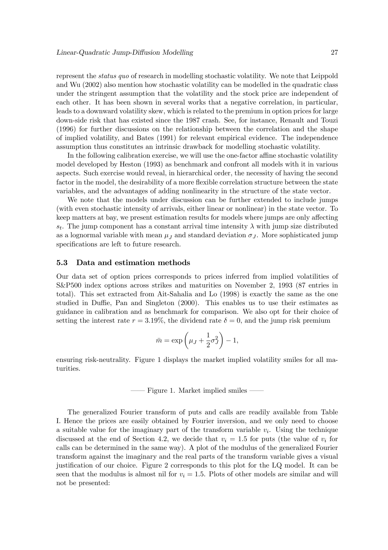represent the status quo of research in modelling stochastic volatility. We note that Leippold and Wu (2002) also mention how stochastic volatility can be modelled in the quadratic class under the stringent assumption that the volatility and the stock price are independent of each other. It has been shown in several works that a negative correlation, in particular, leads to a downward volatility skew, which is related to the premium in option prices for large down-side risk that has existed since the 1987 crash. See, for instance, Renault and Touzi (1996) for further discussions on the relationship between the correlation and the shape of implied volatility, and Bates (1991) for relevant empirical evidence. The independence assumption thus constitutes an intrinsic drawback for modelling stochastic volatility.

In the following calibration exercise, we will use the one-factor affine stochastic volatility model developed by Heston (1993) as benchmark and confront all models with it in various aspects. Such exercise would reveal, in hierarchical order, the necessity of having the second factor in the model, the desirability of a more flexible correlation structure between the state variables, and the advantages of adding nonlinearity in the structure of the state vector.

We note that the models under discussion can be further extended to include jumps (with even stochastic intensity of arrivals, either linear or nonlinear) in the state vector. To keep matters at bay, we present estimation results for models where jumps are only affecting  $s_t$ . The jump component has a constant arrival time intensity  $\lambda$  with jump size distributed as a lognormal variable with mean  $\mu_J$  and standard deviation  $\sigma_J$ . More sophisticated jump specifications are left to future research.

#### 5.3 Data and estimation methods

Our data set of option prices corresponds to prices inferred from implied volatilities of S&P500 index options across strikes and maturities on November 2, 1993 (87 entries in total). This set extracted from Ait-Sahalia and Lo (1998) is exactly the same as the one studied in Duffie, Pan and Singleton (2000). This enables us to use their estimates as guidance in calibration and as benchmark for comparison. We also opt for their choice of setting the interest rate  $r = 3.19\%$ , the dividend rate  $\delta = 0$ , and the jump risk premium

$$
\bar{m} = \exp\left(\mu_J + \frac{1}{2}\sigma_J^2\right) - 1,
$$

ensuring risk-neutrality. Figure 1 displays the market implied volatility smiles for all maturities.

–– Figure 1. Market implied smiles ––

The generalized Fourier transform of puts and calls are readily available from Table I. Hence the prices are easily obtained by Fourier inversion, and we only need to choose a suitable value for the imaginary part of the transform variable  $v_i$ . Using the technique discussed at the end of Section 4.2, we decide that  $v_i = 1.5$  for puts (the value of  $v_i$  for calls can be determined in the same way). A plot of the modulus of the generalized Fourier transform against the imaginary and the real parts of the transform variable gives a visual justification of our choice. Figure 2 corresponds to this plot for the LQ model. It can be seen that the modulus is almost nil for  $v_i = 1.5$ . Plots of other models are similar and will not be presented: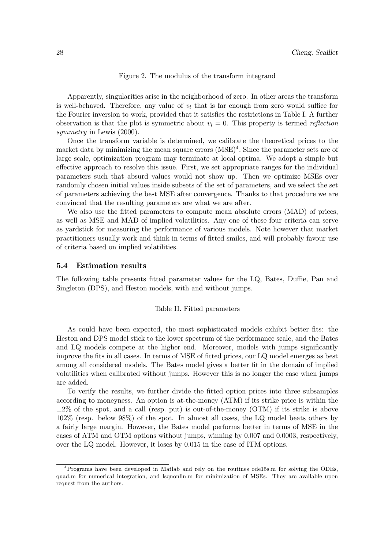Figure 2. The modulus of the transform integrand

Apparently, singularities arise in the neighborhood of zero. In other areas the transform is well-behaved. Therefore, any value of  $v_i$  that is far enough from zero would suffice for the Fourier inversion to work, provided that it satisfies the restrictions in Table I. A further observation is that the plot is symmetric about  $v_i = 0$ . This property is termed *reflection* symmetry in Lewis  $(2000)$ .

Once the transform variable is determined, we calibrate the theoretical prices to the market data by minimizing the mean square errors  $(MSE)^4$ . Since the parameter sets are of large scale, optimization program may terminate at local optima. We adopt a simple but effective approach to resolve this issue. First, we set appropriate ranges for the individual parameters such that absurd values would not show up. Then we optimize MSEs over randomly chosen initial values inside subsets of the set of parameters, and we select the set of parameters achieving the best MSE after convergence. Thanks to that procedure we are convinced that the resulting parameters are what we are after.

We also use the fitted parameters to compute mean absolute errors (MAD) of prices, as well as MSE and MAD of implied volatilities. Any one of these four criteria can serve as yardstick for measuring the performance of various models. Note however that market practitioners usually work and think in terms of fitted smiles, and will probably favour use of criteria based on implied volatilities.

#### 5.4 Estimation results

The following table presents fitted parameter values for the LQ, Bates, Duffie, Pan and Singleton (DPS), and Heston models, with and without jumps.

–– Table II. Fitted parameters ––

As could have been expected, the most sophisticated models exhibit better fits: the Heston and DPS model stick to the lower spectrum of the performance scale, and the Bates and LQ models compete at the higher end. Moreover, models with jumps significantly improve the fits in all cases. In terms of MSE of fitted prices, our LQ model emerges as best among all considered models. The Bates model gives a better fit in the domain of implied volatilities when calibrated without jumps. However this is no longer the case when jumps are added.

To verify the results, we further divide the fitted option prices into three subsamples according to moneyness. An option is at-the-money (ATM) if its strike price is within the  $\pm 2\%$  of the spot, and a call (resp. put) is out-of-the-money (OTM) if its strike is above 102% (resp. below 98%) of the spot. In almost all cases, the LQ model beats others by a fairly large margin. However, the Bates model performs better in terms of MSE in the cases of ATM and OTM options without jumps, winning by 0.007 and 0.0003, respectively, over the LQ model. However, it loses by 0.015 in the case of ITM options.

<sup>4</sup>Programs have been developed in Matlab and rely on the routines ode15s.m for solving the ODEs, quad.m for numerical integration, and lsqnonlin.m for minimization of MSEs. They are available upon request from the authors.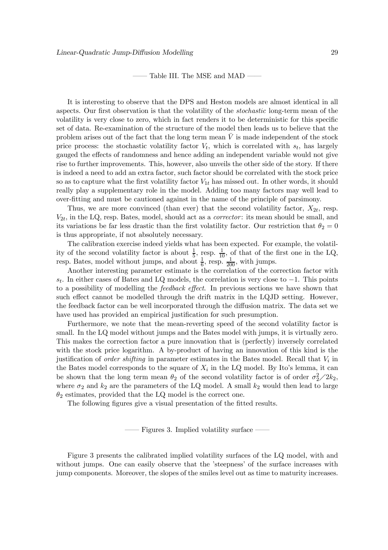Table III. The MSE and MAD

It is interesting to observe that the DPS and Heston models are almost identical in all aspects. Our first observation is that the volatility of the stochastic long-term mean of the volatility is very close to zero, which in fact renders it to be deterministic for this specific set of data. Re-examination of the structure of the model then leads us to believe that the problem arises out of the fact that the long term mean  $\bar{V}$  is made independent of the stock price process: the stochastic volatility factor  $V_t$ , which is correlated with  $s_t$ , has largely gauged the effects of randomness and hence adding an independent variable would not give rise to further improvements. This, however, also unveils the other side of the story. If there is indeed a need to add an extra factor, such factor should be correlated with the stock price so as to capture what the first volatility factor  $V_{1t}$  has missed out. In other words, it should really play a supplementary role in the model. Adding too many factors may well lead to over-fitting and must be cautioned against in the name of the principle of parsimony.

Thus, we are more convinced (than ever) that the second volatility factor,  $X_{2t}$ , resp.  $V_{2t}$ , in the LQ, resp. Bates, model, should act as a *corrector*: its mean should be small, and its variations be far less drastic than the first volatility factor. Our restriction that  $\theta_2 = 0$ is thus appropriate, if not absolutely necessary.

The calibration exercise indeed yields what has been expected. For example, the volatility of the second volatility factor is about  $\frac{1}{5}$ , resp.  $\frac{1}{10}$ , of that of the first one in the LQ, resp. Bates, model without jumps, and about  $\frac{1}{6}$ , resp.  $\frac{1}{200}$ , with jumps.

Another interesting parameter estimate is the correlation of the correction factor with  $s_t$ . In either cases of Bates and LQ models, the correlation is very close to  $-1$ . This points to a possibility of modelling the feedback effect. In previous sections we have shown that such effect cannot be modelled through the drift matrix in the LQJD setting. However, the feedback factor can be well incorporated through the diffusion matrix. The data set we have used has provided an empirical justification for such presumption.

Furthermore, we note that the mean-reverting speed of the second volatility factor is small. In the LQ model without jumps and the Bates model with jumps, it is virtually zero. This makes the correction factor a pure innovation that is (perfectly) inversely correlated with the stock price logarithm. A by-product of having an innovation of this kind is the justification of *order shifting* in parameter estimates in the Bates model. Recall that  $V_i$  in the Bates model corresponds to the square of  $X_i$  in the LQ model. By Ito's lemma, it can be shown that the long term mean  $\theta_2$  of the second volatility factor is of order  $\sigma_2^2/2k_2$ , where  $\sigma_2$  and  $k_2$  are the parameters of the LQ model. A small  $k_2$  would then lead to large  $\theta_2$  estimates, provided that the LQ model is the correct one.

The following figures give a visual presentation of the fitted results.

–– Figures 3. Implied volatility surface ––

Figure 3 presents the calibrated implied volatility surfaces of the LQ model, with and without jumps. One can easily observe that the 'steepness' of the surface increases with jump components. Moreover, the slopes of the smiles level out as time to maturity increases.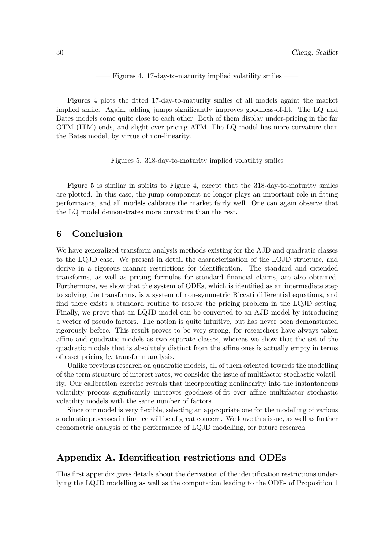–– Figures 4. 17-day-to-maturity implied volatility smiles ––

Figures 4 plots the fitted 17-day-to-maturity smiles of all models againt the market implied smile. Again, adding jumps significantly improves goodness-of-fit. The LQ and Bates models come quite close to each other. Both of them display under-pricing in the far OTM (ITM) ends, and slight over-pricing ATM. The LQ model has more curvature than the Bates model, by virtue of non-linearity.

–– Figures 5. 318-day-to-maturity implied volatility smiles ––

Figure 5 is similar in spirits to Figure 4, except that the 318-day-to-maturity smiles are plotted. In this case, the jump component no longer plays an important role in fitting performance, and all models calibrate the market fairly well. One can again observe that the LQ model demonstrates more curvature than the rest.

### 6 Conclusion

We have generalized transform analysis methods existing for the AJD and quadratic classes to the LQJD case. We present in detail the characterization of the LQJD structure, and derive in a rigorous manner restrictions for identification. The standard and extended transforms, as well as pricing formulas for standard financial claims, are also obtained. Furthermore, we show that the system of ODEs, which is identified as an intermediate step to solving the transforms, is a system of non-symmetric Riccati differential equations, and find there exists a standard routine to resolve the pricing problem in the LQJD setting. Finally, we prove that an LQJD model can be converted to an AJD model by introducing a vector of pseudo factors. The notion is quite intuitive, but has never been demonstrated rigorously before. This result proves to be very strong, for researchers have always taken affine and quadratic models as two separate classes, whereas we show that the set of the quadratic models that is absolutely distinct from the affine ones is actually empty in terms of asset pricing by transform analysis.

Unlike previous research on quadratic models, all of them oriented towards the modelling of the term structure of interest rates, we consider the issue of multifactor stochastic volatility. Our calibration exercise reveals that incorporating nonlinearity into the instantaneous volatility process significantly improves goodness-of-fit over affine multifactor stochastic volatility models with the same number of factors.

Since our model is very flexible, selecting an appropriate one for the modelling of various stochastic processes in finance will be of great concern. We leave this issue, as well as further econometric analysis of the performance of LQJD modelling, for future research.

## Appendix A. Identification restrictions and ODEs

This first appendix gives details about the derivation of the identification restrictions underlying the LQJD modelling as well as the computation leading to the ODEs of Proposition 1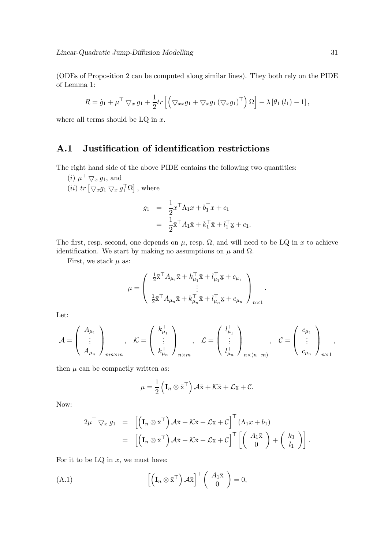(ODEs of Proposition 2 can be computed along similar lines). They both rely on the PIDE of Lemma 1:

$$
R = \dot{g}_1 + \mu^\top \nabla_x g_1 + \frac{1}{2} tr \left[ \left( \nabla_{xx} g_1 + \nabla_x g_1 (\nabla_x g_1)^\top \right) \Omega \right] + \lambda \left[ \theta_1 (l_1) - 1 \right],
$$

where all terms should be  $LQ$  in  $x$ .

## A.1 Justification of identification restrictions

The right hand side of the above PIDE contains the following two quantities:

(*i*)  $\mu^{\top} \nabla x g_1$ , and (*ii*)  $tr \left[ \bigtriangledown_x g_1 \bigtriangledown_x g_1^{\top} \Omega \right]$ , where

$$
g_1 = \frac{1}{2} x^{\top} \Lambda_1 x + b_1^{\top} x + c_1
$$
  
= 
$$
\frac{1}{2} \bar{x}^{\top} A_1 \bar{x} + k_1^{\top} \bar{x} + l_1^{\top} \bar{x} + c_1.
$$

The first, resp. second, one depends on  $\mu$ , resp.  $\Omega$ , and will need to be LQ in x to achieve identification. We start by making no assumptions on  $\mu$  and  $\Omega$ .

First, we stack  $\mu$  as:

$$
\mu = \left(\begin{array}{c} \frac{1}{2}\bar{\mathbf{x}}^\top A_{\mu_1}\bar{\mathbf{x}} + k_{\mu_1}^\top\bar{\mathbf{x}} + l_{\mu_1}^\top\mathbf{x} + c_{\mu_1}\\ \vdots\\ \frac{1}{2}\bar{\mathbf{x}}^\top A_{\mu_n}\bar{\mathbf{x}} + k_{\mu_n}^\top\bar{\mathbf{x}} + l_{\mu_n}^\top\mathbf{x} + c_{\mu_n} \end{array}\right)_{n\times 1}
$$

.

Let:

$$
\mathcal{A} = \begin{pmatrix} A_{\mu_1} \\ \vdots \\ A_{\mu_n} \end{pmatrix}_{mn \times m}, \quad \mathcal{K} = \begin{pmatrix} k_{\mu_1}^{\top} \\ \vdots \\ k_{\mu_n}^{\top} \end{pmatrix}_{n \times m}, \quad \mathcal{L} = \begin{pmatrix} l_{\mu_1}^{\top} \\ \vdots \\ l_{\mu_n}^{\top} \end{pmatrix}_{n \times (n-m)}, \quad \mathcal{C} = \begin{pmatrix} c_{\mu_1} \\ \vdots \\ c_{\mu_n} \end{pmatrix}_{n \times 1},
$$

then  $\mu$  can be compactly written as:

$$
\mu = \frac{1}{2} \left( \mathbf{I}_n \otimes \bar{\mathbf{x}}^\top \right) \mathcal{A} \bar{\mathbf{x}} + \mathcal{K} \bar{\mathbf{x}} + \mathcal{L} \underline{\mathbf{x}} + \mathcal{C}.
$$

Now:

$$
2\mu^{\top} \nabla x \, g_1 = \left[ \left( \mathbf{I}_n \otimes \bar{\mathbf{x}}^{\top} \right) \mathcal{A} \bar{\mathbf{x}} + \mathcal{K} \bar{\mathbf{x}} + \mathcal{L} \underline{\mathbf{x}} + \mathcal{C} \right]^{\top} \left( \Lambda_1 x + b_1 \right) \\ = \left[ \left( \mathbf{I}_n \otimes \bar{\mathbf{x}}^{\top} \right) \mathcal{A} \bar{\mathbf{x}} + \mathcal{K} \bar{\mathbf{x}} + \mathcal{L} \underline{\mathbf{x}} + \mathcal{C} \right]^{\top} \left[ \left( \begin{array}{c} A_1 \bar{\mathbf{x}} \\ 0 \end{array} \right) + \left( \begin{array}{c} k_1 \\ l_1 \end{array} \right) \right].
$$

For it to be  $LQ$  in  $x$ , we must have:

(A.1) 
$$
\left[ \left( \mathbf{I}_n \otimes \bar{\mathbf{x}}^{\top} \right) \mathcal{A} \bar{\mathbf{x}} \right]^{\top} \left( \begin{array}{c} A_1 \bar{\mathbf{x}} \\ 0 \end{array} \right) = 0,
$$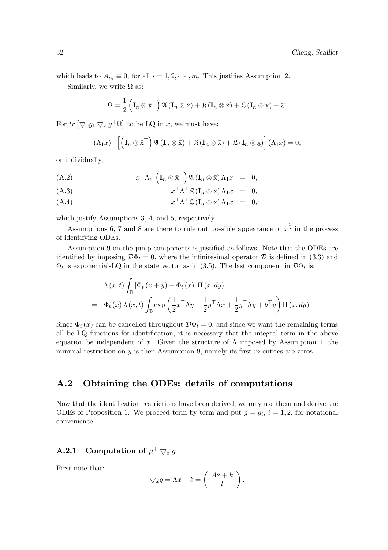which leads to  $A_{\mu_i} \equiv 0$ , for all  $i = 1, 2, \dots, m$ . This justifies Assumption 2.

Similarly, we write  $\Omega$  as:

$$
\Omega = \frac{1}{2} \left( \mathbf{I}_n \otimes \bar{\mathbf{x}}^{\top} \right) \mathfrak{A} \left( \mathbf{I}_n \otimes \bar{\mathbf{x}} \right) + \mathfrak{K} \left( \mathbf{I}_n \otimes \bar{\mathbf{x}} \right) + \mathfrak{L} \left( \mathbf{I}_n \otimes \bar{\mathbf{x}} \right) + \mathfrak{C}.
$$

For  $tr \left[ \bigtriangledown_x g_1 \bigtriangledown_x g_1^{\top} \Omega \right]$  to be LQ in x, we must have:

$$
(\Lambda_1 x)^\top \left[ \left( \mathbf{I}_n \otimes \bar{\mathbf{x}}^\top \right) \mathfrak{A} \left( \mathbf{I}_n \otimes \bar{\mathbf{x}} \right) + \mathfrak{K} \left( \mathbf{I}_n \otimes \bar{\mathbf{x}} \right) + \mathfrak{L} \left( \mathbf{I}_n \otimes \mathbf{x} \right) \right] (\Lambda_1 x) = 0,
$$

or individually,

(A.2) 
$$
x^{\top} \Lambda_1^{\top} \left( \mathbf{I}_n \otimes \bar{\mathbf{x}}^{\top} \right) \mathfrak{A} \left( \mathbf{I}_n \otimes \bar{\mathbf{x}} \right) \Lambda_1 x = 0,
$$

$$
(A.3) \t\t x+ \Lambda1+ \mathfrak{K} (\mathbf{I}_n \otimes \bar{\mathbf{x}}) \Lambda_1 x = 0,
$$

$$
(A.4) \t\t x+ \Lambda1+ \mathfrak{L} (\mathbf{I}_n \otimes \mathbf{x}) \Lambda_1 x = 0,
$$

which justify Assumptions 3, 4, and 5, respectively.

Assumptions 6, 7 and 8 are there to rule out possible appearance of  $x^{\frac{1}{2}}$  in the process of identifying ODEs.

Assumption 9 on the jump components is justified as follows. Note that the ODEs are identified by imposing  $\mathcal{D}\Phi_t = 0$ , where the infinitesimal operator  $\mathcal D$  is defined in (3.3) and  $\Phi_t$  is exponential-LQ in the state vector as in (3.5). The last component in  $\mathcal{D}\Phi_t$  is:

$$
\lambda(x,t) \int_{\mathbb{D}} \left[ \Phi_t(x+y) - \Phi_t(x) \right] \Pi(x,dy)
$$
  
=  $\Phi_t(x) \lambda(x,t) \int_{\mathbb{D}} \exp \left( \frac{1}{2} x^\top \Lambda y + \frac{1}{2} y^\top \Lambda x + \frac{1}{2} y^\top \Lambda y + b^\top y \right) \Pi(x,dy)$ 

Since  $\Phi_t(x)$  can be cancelled throughout  $\mathcal{D}\Phi_t=0$ , and since we want the remaining terms all be LQ functions for identification, it is necessary that the integral term in the above equation be independent of x. Given the structure of  $\Lambda$  imposed by Assumption 1, the minimal restriction on y is then Assumption 9, namely its first  $m$  entries are zeros.

## A.2 Obtaining the ODEs: details of computations

Now that the identification restrictions have been derived, we may use them and derive the ODEs of Proposition 1. We proceed term by term and put  $g = g_i$ ,  $i = 1, 2$ , for notational convenience.

## **A.2.1** Computation of  $\mu^{\top} \nabla_x g$

First note that:

$$
\nabla x g = \Lambda x + b = \begin{pmatrix} A\bar{x} + k \\ l \end{pmatrix}.
$$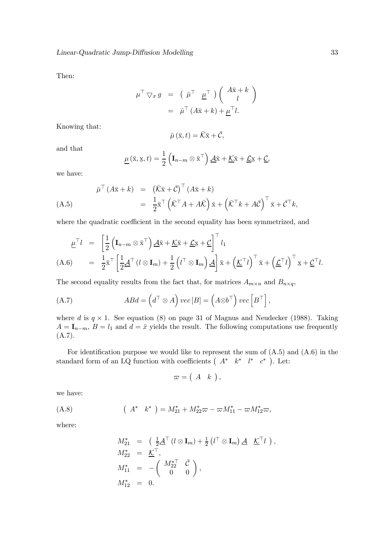Then:

$$
\mu^{\top} \nabla x \, g = (\bar{\mu}^{\top} \underline{\mu}^{\top}) \left( \begin{array}{c} A\bar{x} + k \\ l \end{array} \right)
$$

$$
= \bar{\mu}^{\top} (A\bar{x} + k) + \underline{\mu}^{\top} l.
$$

Knowing that:

$$
\bar{\mu}(\bar{x},t) = \bar{\mathcal{K}}\bar{x} + \bar{\mathcal{C}},
$$

and that

$$
\underline{\mu}(\bar{\mathbf{x}}, \mathbf{x}, t) = \frac{1}{2} \left( \mathbf{I}_{n-m} \otimes \bar{\mathbf{x}}^{\top} \right) \underline{\mathcal{A}} \bar{\mathbf{x}} + \underline{\mathcal{K}} \bar{\mathbf{x}} + \underline{\mathcal{L}} \mathbf{x} + \underline{\mathcal{C}},
$$

we have:

$$
\bar{\mu}^{\top} (A\bar{x} + k) = (\bar{K}\bar{x} + \bar{C})^{\top} (A\bar{x} + k)
$$
\n
$$
= \frac{1}{2}\bar{x}^{\top} (\bar{K}^{\top} A + A\bar{K}) \bar{x} + (\bar{K}^{\top} k + A\bar{C})^{\top} \bar{x} + \bar{C}^{\top} k,
$$
\n(A.5)

where the quadratic coefficient in the second equality has been symmetrized, and

$$
\underline{\mu}^{\top} l = \left[ \frac{1}{2} \left( \mathbf{I}_{n-m} \otimes \bar{\mathbf{x}}^{\top} \right) \underline{\mathcal{A}} \bar{\mathbf{x}} + \underline{\mathcal{K}} \bar{\mathbf{x}} + \underline{\mathcal{L}} \underline{\mathbf{x}} + \underline{\mathcal{C}} \right]^{\top} l_1
$$
\n(A.6) 
$$
= \frac{1}{2} \bar{\mathbf{x}}^{\top} \left[ \frac{1}{2} \underline{\mathcal{A}}^{\top} (l \otimes \mathbf{I}_m) + \frac{1}{2} \left( l^{\top} \otimes \mathbf{I}_m \right) \underline{\mathcal{A}} \right] \bar{\mathbf{x}} + \left( \underline{\mathcal{K}}^{\top} l \right)^{\top} \bar{\mathbf{x}} + \left( \underline{\mathcal{L}}^{\top} l \right)^{\top} \mathbf{x} + \underline{\mathcal{C}}^{\top} l.
$$

The second equality results from the fact that, for matrices  $A_{m \times n}$  and  $B_{n \times q}$ ,

(A.7) 
$$
ABA = \left(d^{\top} \otimes A\right) vec[B] = \left(A \otimes b^{\top}\right) vec\left[B^{\top}\right],
$$

where d is  $q \times 1$ . See equation (8) on page 31 of Magnus and Neudecker (1988). Taking  $A = I_{n-m}, B = l_1$  and  $d = \bar{x}$  yields the result. The following computations use frequently (A.7).

For identification purpose we would like to represent the sum of  $(A.5)$  and  $(A.6)$  in the standard form of an LQ function with coefficients  $(A^* k^* l^* c^*)$ . Let:

$$
\varpi = \left( \begin{array}{cc} A & k \end{array} \right),
$$

we have:

(A.8) 
$$
(A^* k^*) = M_{21}^* + M_{22}^* \varpi - \varpi M_{11}^* - \varpi M_{12}^* \varpi,
$$

where:

$$
M_{21}^* = \left(\frac{1}{2}\underline{\mathcal{A}}^\top (l \otimes \mathbf{I}_m) + \frac{1}{2} (l^\top \otimes \mathbf{I}_m) \underline{\mathcal{A}} \underline{\mathcal{K}}^\top l \right),
$$
  
\n
$$
M_{22}^* = \underline{\mathcal{K}}^\top,
$$
  
\n
$$
M_{11}^* = -\left(\begin{array}{cc} M_{22}^{* \top} & \overline{\mathcal{C}} \\ 0 & 0 \end{array}\right),
$$
  
\n
$$
M_{12}^* = 0.
$$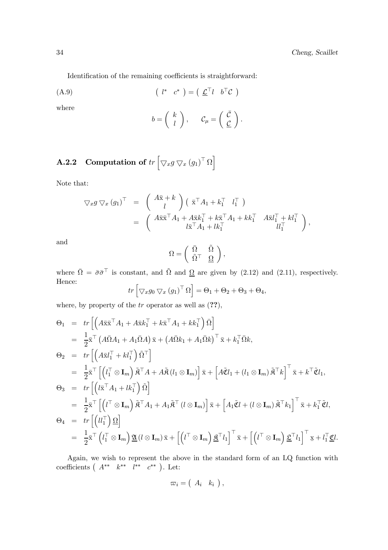Identification of the remaining coefficients is straightforward:

$$
(A.9) \qquad \qquad (l^* \quad c^*) = \left(\begin{array}{cc} \underline{\mathcal{L}}^\top l & b^\top \mathcal{C} \end{array}\right)
$$

where

$$
b = \left(\begin{array}{c} k \\ l \end{array}\right), \quad C_{\mu} = \left(\begin{array}{c} \bar{\mathcal{C}} \\ \underline{\mathcal{C}} \end{array}\right).
$$

# **A.2.2** Computation of  $tr \left[ \bigtriangledown_{x} g \bigtriangledown_{x} (g_{1})^{\top} \Omega \right]$

Note that:

$$
\nabla x g \nabla x (g_1)^\top = \begin{pmatrix} A\bar{x} + k \\ l \end{pmatrix} (\bar{x}^\top A_1 + k_1^\top l_1^\top) \n= \begin{pmatrix} A\bar{x}\bar{x}^\top A_1 + A\bar{x}k_1^\top + k\bar{x}^\top A_1 + kk_1^\top & A\bar{x}l_1^\top + kl_1^\top \\ l\bar{x}^\top A_1 + lk_1^\top & l\bar{l}_1^\top \end{pmatrix},
$$

and

$$
\Omega = \left( \begin{array}{cc} \bar{\Omega} & \tilde{\Omega} \\ \tilde{\Omega}^\top & \underline{\Omega} \end{array} \right),
$$

where  $\overline{\Omega} = \overline{\sigma} \overline{\sigma}^{\top}$  is constant, and  $\overline{\Omega}$  and  $\underline{\Omega}$  are given by (2.12) and (2.11), respectively. Hence:

$$
tr\left[\nabla_x g_0 \nabla_x (g_1)^\top \Omega\right] = \Theta_1 + \Theta_2 + \Theta_3 + \Theta_4,
$$

where, by property of the  $tr$  operator as well as  $(??)$ ,

$$
\Theta_{1} = tr \left[ \left( A \bar{\mathbf{x}} \bar{\mathbf{x}}^{\top} A_{1} + A \bar{\mathbf{x}} k_{1}^{\top} + k \bar{\mathbf{x}}^{\top} A_{1} + k k_{1}^{\top} \right) \bar{\Omega} \right]
$$
\n
$$
= \frac{1}{2} \bar{\mathbf{x}}^{\top} \left( A \bar{\Omega} A_{1} + A_{1} \bar{\Omega} A \right) \bar{\mathbf{x}} + \left( A \bar{\Omega} k_{1} + A_{1} \bar{\Omega} k \right)^{\top} \bar{\mathbf{x}} + k_{1}^{\top} \bar{\Omega} k,
$$
\n
$$
\Theta_{2} = tr \left[ \left( A \bar{\mathbf{x}} l_{1}^{\top} + k l_{1}^{\top} \right) \tilde{\Omega}^{\top} \right]
$$
\n
$$
= \frac{1}{2} \bar{\mathbf{x}}^{\top} \left[ \left( l_{1}^{\top} \otimes \mathbf{I}_{m} \right) \tilde{\mathbf{x}}^{\top} A + A \tilde{\mathbf{x}} \left( l_{1} \otimes \mathbf{I}_{m} \right) \right] \bar{\mathbf{x}} + \left[ A \tilde{\mathbf{C}} l_{1} + \left( l_{1} \otimes \mathbf{I}_{m} \right) \tilde{\mathbf{x}}^{\top} k \right]^{\top} \bar{\mathbf{x}} + k^{\top} \tilde{\mathbf{C}} l_{1},
$$
\n
$$
\Theta_{3} = tr \left[ \left( l \bar{\mathbf{x}}^{\top} A_{1} + l k_{1}^{\top} \right) \tilde{\Omega} \right]
$$
\n
$$
= \frac{1}{2} \bar{\mathbf{x}}^{\top} \left[ \left( l^{\top} \otimes \mathbf{I}_{m} \right) \tilde{\mathbf{x}}^{\top} A_{1} + A_{1} \tilde{\mathbf{x}}^{\top} \left( l \otimes \mathbf{I}_{m} \right) \right] \bar{\mathbf{x}} + \left[ A_{1} \tilde{\mathbf{C}} l + \left( l \otimes \mathbf{I}_{m} \right) \tilde{\mathbf{x}}^{\top} k_{1} \right]^{\top} \bar{\mathbf{x}} + k_{1}^{\top} \tilde{\mathbf{C}} l,
$$
\n
$$
\Theta_{4} = tr \left[ \left( l \right] \right) \underline{\Omega} \right
$$

Again, we wish to represent the above in the standard form of an LQ function with coefficients  $(A^{**} k^{**} l^{**} c^{**}).$  Let:

$$
\varpi_i = \left(\begin{array}{cc} A_i & k_i \end{array}\right),
$$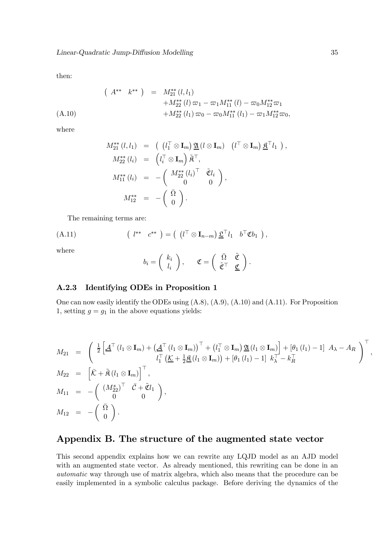then:

$$
(A^{**} k^{**}) = M_{21}^{**}(l, l_1)
$$
  

$$
+ M_{22}^{**}(l) \varpi_1 - \varpi_1 M_{11}^{**}(l) - \varpi_0 M_{12}^{**} \varpi_1
$$
  

$$
+ M_{22}^{**}(l_1) \varpi_0 - \varpi_0 M_{11}^{**}(l_1) - \varpi_1 M_{12}^{**} \varpi_0,
$$

where

$$
M_{21}^{**}(l, l_1) = ((l_1^\top \otimes \mathbf{I}_m) \underline{\mathfrak{A}}(l \otimes \mathbf{I}_m) (l^\top \otimes \mathbf{I}_m) \underline{\mathfrak{A}}^\top l_1),
$$
  
\n
$$
M_{22}^{**}(l_i) = (l_i^\top \otimes \mathbf{I}_m) \widetilde{\mathfrak{A}}^\top,
$$
  
\n
$$
M_{11}^{**}(l_i) = -(\begin{array}{cc} M_{22}^{**}(l_i)^\top & \widetilde{\mathfrak{C}}l_i \\ 0 & 0 \end{array}),
$$
  
\n
$$
M_{12}^{**} = -(\begin{array}{cc} \bar{\Omega} \\ 0 \end{array}).
$$

The remaining terms are:

(A.11) 
$$
(l^{**} c^{**}) = (l^{T} \otimes \mathbf{I}_{n-m}) \underline{\mathfrak{L}}^{T} l_1 b^{T} \mathfrak{C} b_1),
$$

where

$$
b_i = \left(\begin{array}{c} k_i \\ l_i \end{array}\right), \quad \mathfrak{C} = \left(\begin{array}{cc} \bar{\Omega} & \tilde{\mathfrak{C}} \\ \tilde{\mathfrak{C}}^\top & \underline{\mathfrak{C}} \end{array}\right).
$$

#### A.2.3 Identifying ODEs in Proposition 1

One can now easily identify the ODEs using (A.8), (A.9), (A.10) and (A.11). For Proposition 1, setting  $g = g_1$  in the above equations yields:

$$
M_{21} = \begin{pmatrix} \frac{1}{2} \left[ \underline{A}^{\top} (l_1 \otimes \mathbf{I}_m) + (\underline{A}^{\top} (l_1 \otimes \mathbf{I}_m))^{\top} + (l_1^{\top} \otimes \mathbf{I}_m) \underline{u} (l_1 \otimes \mathbf{I}_m) \right] + [\theta_1 (l_1) - 1] A_{\lambda} - A_R \ 0, \ i_1^{\top} (\underline{\mathcal{K}} + \frac{1}{2} \underline{\mathfrak{K}} (l_1 \otimes \mathbf{I}_m)) + [\theta_1 (l_1) - 1] k_{\lambda}^{\top} - k_R^{\top} \ 0, \end{pmatrix}^{\top},
$$
  
\n
$$
M_{22} = \begin{bmatrix} \bar{\mathcal{K}} + \tilde{\mathfrak{K}} (l_1 \otimes \mathbf{I}_m) \end{bmatrix}^{\top},
$$
  
\n
$$
M_{11} = - \begin{pmatrix} (M_{22}^s)^{\top} & \bar{\mathcal{C}} + \tilde{\mathfrak{C}} l_1 \\ 0 & 0 \end{pmatrix},
$$
  
\n
$$
M_{12} = - \begin{pmatrix} \bar{\Omega} \\ 0 \end{pmatrix}.
$$

## Appendix B. The structure of the augmented state vector

This second appendix explains how we can rewrite any LQJD model as an AJD model with an augmented state vector. As already mentioned, this rewriting can be done in an automatic way through use of matrix algebra, which also means that the procedure can be easily implemented in a symbolic calculus package. Before deriving the dynamics of the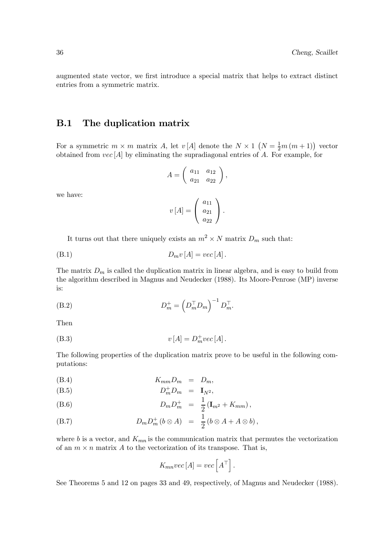augmented state vector, we first introduce a special matrix that helps to extract distinct entries from a symmetric matrix.

## B.1 The duplication matrix

For a symmetric  $m \times m$  matrix A, let  $v[A]$  denote the  $N \times 1 \left(N = \frac{1}{2}m(m+1)\right)$  vector obtained from  $vec[A]$  by eliminating the supradiagonal entries of A. For example, for

$$
A = \left(\begin{array}{cc} a_{11} & a_{12} \\ a_{21} & a_{22} \end{array}\right),
$$

we have:

$$
v\left[A\right] = \left(\begin{array}{c} a_{11} \\ a_{21} \\ a_{22} \end{array}\right).
$$

It turns out that there uniquely exists an  $m^2 \times N$  matrix  $D_m$  such that:

$$
(B.1) \t\t D_m v [A] = vec [A].
$$

The matrix  $D_m$  is called the duplication matrix in linear algebra, and is easy to build from the algorithm described in Magnus and Neudecker (1988). Its Moore-Penrose (MP) inverse is:

(B.2) 
$$
D_m^+ = \left(D_m^\top D_m\right)^{-1} D_m^\top.
$$

Then

(B.3) 
$$
v[A] = D_m^+ vec[A].
$$

The following properties of the duplication matrix prove to be useful in the following computations:

$$
(B.4) \t K_{mm}D_m = D_m,
$$

$$
(B.5) \t\t D_m^+ D_m = I_{N^2},
$$

(B.6) 
$$
D_m D_m^+ = \frac{1}{2} (\mathbf{I}_{m^2} + K_{mm}),
$$

(B.7) 
$$
D_m D_m^+ (b \otimes A) = \frac{1}{2} (b \otimes A + A \otimes b),
$$

where b is a vector, and  $K_{mn}$  is the communication matrix that permutes the vectorization of an  $m \times n$  matrix A to the vectorization of its transpose. That is,

$$
K_{mn}vec[A] = vec\left[A^{\top}\right].
$$

See Theorems 5 and 12 on pages 33 and 49, respectively, of Magnus and Neudecker (1988).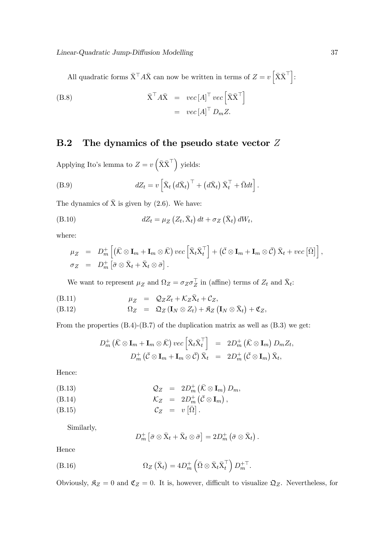All quadratic forms  $\bar{X}^{\top} A \bar{X}$  can now be written in terms of  $Z = v \left[ \bar{X} \bar{X}^{\top} \right]$ :

(B.8) 
$$
\begin{aligned}\n\bar{\mathbf{X}}^{\top} A \bar{\mathbf{X}} &= \operatorname{vec} [A]^{\top} \operatorname{vec} \left[ \bar{\mathbf{X}} \bar{\mathbf{X}}^{\top} \right] \\
&= \operatorname{vec} [A]^{\top} D_m Z.\n\end{aligned}
$$

## B.2 The dynamics of the pseudo state vector  $Z$

Applying Ito's lemma to  $Z = v\left(\bar{X}\bar{X}^{\top}\right)$  yields:

(B.9) 
$$
dZ_t = v \left[ \bar{X}_t \left( d\bar{X}_t \right)^\top + \left( d\bar{X}_t \right) \bar{X}_t^\top + \bar{\Omega} dt \right].
$$

The dynamics of  $\bar{X}$  is given by (2.6). We have:

(B.10) 
$$
dZ_t = \mu_Z \left( Z_t, \bar{X}_t \right) dt + \sigma_Z \left( \bar{X}_t \right) dW_t,
$$

where:

$$
\mu_Z = D_m^+ \left[ \left( \bar{\mathcal{K}} \otimes \mathbf{I}_m + \mathbf{I}_m \otimes \bar{\mathcal{K}} \right) \, \nu e \, c \left[ \bar{\mathbf{X}}_t \bar{\mathbf{X}}_t^\top \right] + \left( \bar{\mathcal{C}} \otimes \mathbf{I}_m + \mathbf{I}_m \otimes \bar{\mathcal{C}} \right) \bar{\mathbf{X}}_t + \nu e \, c \left[ \bar{\Omega} \right] \right],
$$
  
\n
$$
\sigma_Z = D_m^+ \left[ \bar{\sigma} \otimes \bar{\mathbf{X}}_t + \bar{\mathbf{X}}_t \otimes \bar{\sigma} \right].
$$

We want to represent  $\mu_Z$  and  $\Omega_Z = \sigma_Z \sigma_Z^{\top}$  in (affine) terms of  $Z_t$  and  $\bar{X}_t$ :

$$
\mu_Z = Q_Z Z_t + \mathcal{K}_Z \bar{X}_t + \mathcal{C}_Z,
$$

$$
(B.12) \t\t \Omega_Z = \mathfrak{Q}_Z (\mathbf{I}_N \otimes Z_t) + \mathfrak{K}_Z (\mathbf{I}_N \otimes \bar{X}_t) + \mathfrak{C}_Z,
$$

From the properties  $(B.4)-(B.7)$  of the duplication matrix as well as  $(B.3)$  we get:

$$
D_m^+ (\bar{K} \otimes \mathbf{I}_m + \mathbf{I}_m \otimes \bar{K}) \, vec \left[ \bar{X}_t \bar{X}_t^\top \right] = 2D_m^+ (\bar{K} \otimes \mathbf{I}_m) \, D_m Z_t, \nD_m^+ (\bar{C} \otimes \mathbf{I}_m + \mathbf{I}_m \otimes \bar{C}) \, \bar{X}_t = 2D_m^+ (\bar{C} \otimes \mathbf{I}_m) \, \bar{X}_t,
$$

Hence:

<sup>Q</sup><sup>Z</sup> = 2D<sup>+</sup> m ¡ <sup>K</sup>¯ <sup>⊗</sup> <sup>I</sup><sup>m</sup> ¢ (B.13) Dm,

$$
\mathcal{K}_Z = 2D_m^+ (\bar{\mathcal{C}} \otimes \mathbf{I}_m),
$$

$$
C_Z = v [\bar{\Omega}].
$$

Similarly,

$$
D_m^+\left[\bar{\sigma}\otimes \bar{X}_t+\bar{X}_t\otimes \bar{\sigma}\right]=2D_m^+\left(\bar{\sigma}\otimes \bar{X}_t\right)
$$

.

Hence

(B.16) 
$$
\Omega_Z(\bar{X}_t) = 4D_m^+ \left( \bar{\Omega} \otimes \bar{X}_t \bar{X}_t^\top \right) D_m^{+T}.
$$

Obviously,  $\mathfrak{K}_Z = 0$  and  $\mathfrak{C}_Z = 0$ . It is, however, difficult to visualize  $\mathfrak{Q}_Z$ . Nevertheless, for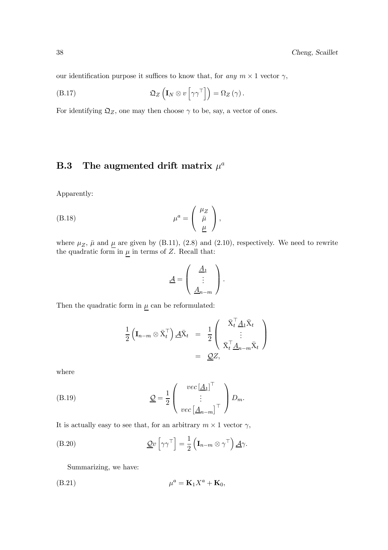our identification purpose it suffices to know that, for any  $m \times 1$  vector  $\gamma$ ,

(B.17) 
$$
\mathfrak{Q}_Z \left( \mathbf{I}_N \otimes v \left[ \gamma \gamma^\top \right] \right) = \Omega_Z \left( \gamma \right).
$$

For identifying  $\mathfrak{Q}_Z$ , one may then choose  $\gamma$  to be, say, a vector of ones.

## **B.3** The augmented drift matrix  $\mu^a$

Apparently:

(B.18) 
$$
\mu^a = \begin{pmatrix} \mu_Z \\ \bar{\mu} \\ \underline{\mu} \end{pmatrix},
$$

where  $\mu_Z$ ,  $\bar{\mu}$  and  $\underline{\mu}$  are given by (B.11), (2.8) and (2.10), respectively. We need to rewrite the quadratic form in  $\underline{\mu}$  in terms of Z. Recall that:

$$
\underline{\mathcal{A}} = \left( \begin{array}{c} \underline{A}_1 \\ \vdots \\ \underline{A}_{n-m} \end{array} \right).
$$

Then the quadratic form in  $\mu$  can be reformulated:

$$
\frac{1}{2} \left( \mathbf{I}_{n-m} \otimes \bar{\mathbf{X}}_t^\top \right) \underline{\mathcal{A}} \bar{\mathbf{X}}_t = \frac{1}{2} \begin{pmatrix} \bar{\mathbf{X}}_t^\top \underline{\mathcal{A}}_1 \bar{\mathbf{X}}_t \\ \vdots \\ \bar{\mathbf{X}}_t^\top \underline{\mathcal{A}}_{n-m} \bar{\mathbf{X}}_t \end{pmatrix} \\ = \underline{\mathcal{Q}} Z,
$$

where

(B.19) 
$$
\underline{\mathcal{Q}} = \frac{1}{2} \begin{pmatrix} vec \left[ \underline{A}_{1} \right]^{\top} \\ \vdots \\ vec \left[ \underline{A}_{n-m} \right]^{\top} \end{pmatrix} D_{m}.
$$

It is actually easy to see that, for an arbitrary  $m \times 1$  vector  $\gamma$ ,

(B.20) 
$$
\mathcal{Q}v\left[\gamma\gamma^{\top}\right] = \frac{1}{2}\left(\mathbf{I}_{n-m} \otimes \gamma^{\top}\right)\mathcal{A}\gamma.
$$

Summarizing, we have:

$$
\mu^a = \mathbf{K}_1 X^a + \mathbf{K}_0,
$$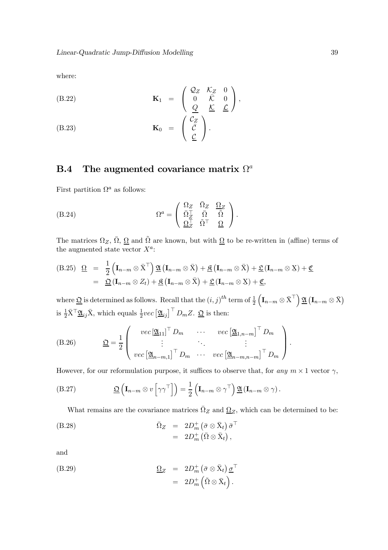where:

(B.22) 
$$
\mathbf{K}_1 = \begin{pmatrix} \mathcal{Q}_Z & \mathcal{K}_Z & 0 \\ 0 & \bar{\mathcal{K}} & 0 \\ \underline{Q} & \underline{\mathcal{K}} & \underline{\mathcal{L}} \end{pmatrix},
$$

(B.23) 
$$
\mathbf{K}_0 = \begin{pmatrix} C_Z \\ \bar{C} \\ \underline{C} \end{pmatrix}.
$$

## B.4 The augmented covariance matrix  $\Omega^a$

First partition  $\Omega^a$  as follows:

(B.24) 
$$
\Omega^{a} = \begin{pmatrix} \Omega_{Z} & \bar{\Omega}_{Z} & \Omega_{Z} \\ \bar{\Omega}_{Z}^{\top} & \bar{\Omega} & \bar{\Omega} \\ \frac{\Omega_{Z}^{\top}}{2} & \tilde{\Omega}^{\top} & \underline{\Omega} \end{pmatrix}.
$$

The matrices  $\Omega_Z$ ,  $\overline{\Omega}$ ,  $\underline{\Omega}$  and  $\tilde{\Omega}$  are known, but with  $\underline{\Omega}$  to be re-written in (affine) terms of the augmented state vector  $X^a$ :

(B.25) 
$$
\underline{\Omega} = \frac{1}{2} \left( \mathbf{I}_{n-m} \otimes \overline{X}^{\top} \right) \underline{\mathfrak{A}} \left( \mathbf{I}_{n-m} \otimes \overline{X} \right) + \underline{\mathfrak{K}} \left( \mathbf{I}_{n-m} \otimes \overline{X} \right) + \underline{\mathfrak{L}} \left( \mathbf{I}_{n-m} \otimes \overline{X} \right) + \underline{\mathfrak{C}} \\ = \underline{\mathfrak{Q}} \left( \mathbf{I}_{n-m} \otimes Z_t \right) + \underline{\mathfrak{K}} \left( \mathbf{I}_{n-m} \otimes \overline{X} \right) + \underline{\mathfrak{L}} \left( \mathbf{I}_{n-m} \otimes \overline{X} \right) + \underline{\mathfrak{C}},
$$

where  $\underline{\mathfrak{Q}}$  is determined as follows. Recall that the  $(i, j)^{th}$  term of  $\frac{1}{2}$  $\left(\mathbf{I}_{n-m}\otimes \bar{\mathbf{X}}^{\top}\right)\underline{\mathfrak{A}}\left(\mathbf{I}_{n-m}\otimes \bar{\mathbf{X}}\right)$ is  $\frac{1}{2}\bar{X}^{\top}\underline{\mathfrak{A}}_{ij}\bar{X}$ , which equals  $\frac{1}{2}vec\left[\underline{\mathfrak{A}}_{ij}\right]^{\top}D_mZ$ .  $\underline{\mathfrak{Q}}$  is then:

(B.26) 
$$
\underline{\mathfrak{Q}} = \frac{1}{2} \left( \begin{array}{ccc} vec \left[ \underline{\mathfrak{A}}_{11} \right]^\top D_m & \cdots & vec \left[ \underline{\mathfrak{A}}_{1,n-m} \right]^\top D_m \\ \vdots & \ddots & \vdots \\ vec \left[ \underline{\mathfrak{A}}_{n-m,1} \right]^\top D_m & \cdots & vec \left[ \underline{\mathfrak{A}}_{n-m,n-m} \right]^\top D_m \end{array} \right).
$$

However, for our reformulation purpose, it suffices to observe that, for any  $m \times 1$  vector  $\gamma$ ,

(B.27) 
$$
\underline{\mathfrak{Q}}\left(\mathbf{I}_{n-m}\otimes v\left[\gamma\gamma^{\top}\right]\right)=\frac{1}{2}\left(\mathbf{I}_{n-m}\otimes\gamma^{\top}\right)\underline{\mathfrak{A}}\left(\mathbf{I}_{n-m}\otimes\gamma\right).
$$

What remains are the covariance matrices  $\overline{\Omega}_Z$  and  $\underline{\Omega}_Z$ , which can be determined to be:

$$
\begin{array}{rcl}\n\bar{\Omega}_Z &=& 2D_m^+ \left( \bar{\sigma} \otimes \bar{X}_t \right) \bar{\sigma}^\top \\
&=& 2D_m^+ \left( \bar{\Omega} \otimes \bar{X}_t \right),\n\end{array}
$$

and

(B.29) 
$$
\begin{array}{rcl} \Omega_Z & = & 2D_m^+ \left( \bar{\sigma} \otimes \bar{X}_t \right) \underline{\sigma}^\top \\ & = & 2D_m^+ \left( \tilde{\Omega} \otimes \bar{X}_t \right). \end{array}
$$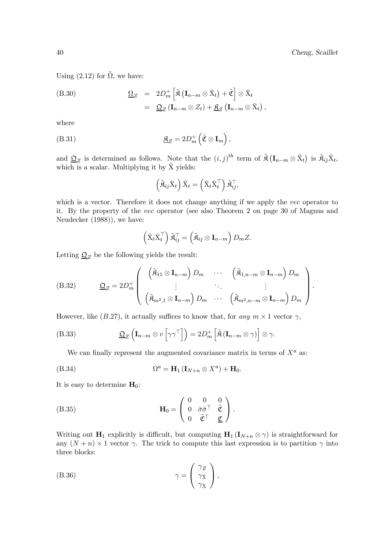Using  $(2.12)$  for  $\tilde{\Omega}$ , we have:

(B.30) 
$$
\underline{\Omega}_Z = 2D_m^+ \left[ \tilde{\mathfrak{K}} \left( \mathbf{I}_{n-m} \otimes \bar{X}_t \right) + \tilde{\mathfrak{C}} \right] \otimes \bar{X}_t \n= \underline{\mathfrak{Q}}_Z \left( \mathbf{I}_{n-m} \otimes Z_t \right) + \underline{\mathfrak{K}}_Z \left( \mathbf{I}_{n-m} \otimes \bar{X}_t \right),
$$

where

(B.31) 
$$
\underline{\mathfrak{K}}_Z = 2D_m^+ \left( \tilde{\mathfrak{C}} \otimes \mathbf{I}_m \right),
$$

and  $\underline{\mathfrak{Q}}_Z$  is determined as follows. Note that the  $(i,j)^{th}$  term of  $\tilde{\mathfrak{K}}(\mathbf{I}_{n-m}\otimes \bar{\mathbf{X}}_t)$  is  $\tilde{\mathfrak{K}}_{ij}\bar{\mathbf{X}}_t$ , which is a scalar. Multiplying it by  $\bar{X}$  yields:

$$
\left(\tilde{\mathfrak{K}}_{ij}\bar{\mathbf{X}}_{t}\right)\bar{\mathbf{X}}_{t}=\left(\bar{\mathbf{X}}_{t}\bar{\mathbf{X}}_{t}^{\top}\right)\tilde{\mathbf{\mathfrak{K}}}_{ij}^{\top},
$$

which is a vector. Therefore it does not change anything if we apply the *vec* operator to it. By the property of the vec operator (see also Theorem 2 on page 30 of Magnus and Neudecker (1988)), we have:

$$
\left(\bar{\mathbf{X}}_t \bar{\mathbf{X}}_t^\top\right) \tilde{\mathbf{A}}_{ij}^\top = \left(\tilde{\mathbf{A}}_{ij} \otimes \mathbf{I}_{n-m}\right) D_m Z.
$$

Letting  $\underline{\mathfrak{Q}}_Z$  be the following yields the result:

(B.32) 
$$
\underline{\mathfrak{Q}}_Z = 2D_m^+ \left( \begin{array}{ccc} (\tilde{\mathfrak{K}}_{11} \otimes \mathbf{I}_{n-m}) D_m & \cdots & (\tilde{\mathfrak{K}}_{1,n-m} \otimes \mathbf{I}_{n-m}) D_m \\ \vdots & \ddots & \vdots \\ (\tilde{\mathfrak{K}}_{m^2,1} \otimes \mathbf{I}_{n-m}) D_m & \cdots & (\tilde{\mathfrak{K}}_{m^2,n-m} \otimes \mathbf{I}_{n-m}) D_m \end{array} \right).
$$

However, like (B.27), it actually suffices to know that, for any  $m \times 1$  vector  $\gamma$ ,

(B.33) 
$$
\underline{\mathfrak{Q}}_Z \left( \mathbf{I}_{n-m} \otimes v \left[ \gamma \gamma^\top \right] \right) = 2 D_m^+ \left[ \tilde{\mathfrak{R}} \left( \mathbf{I}_{n-m} \otimes \gamma \right) \right] \otimes \gamma.
$$

We can finally represent the augmented covariance matrix in terms of  $X^a$  as:

$$
(B.34) \t\t \t\t \Omega^a = H_1 (I_{N+n} \otimes X^a) + H_0.
$$

It is easy to determine  $H_0$ :

(B.35) 
$$
\mathbf{H}_0 = \begin{pmatrix} 0 & 0 & 0 \\ 0 & \bar{\sigma}\bar{\sigma}^\top & \tilde{\mathfrak{C}} \\ 0 & \tilde{\mathfrak{C}}^\top & \underline{\mathfrak{C}} \end{pmatrix}.
$$

Writing out  $H_1$  explicitly is difficult, but computing  $H_1 (I_{N+n} \otimes \gamma)$  is straightforward for any  $(N + n) \times 1$  vector  $\gamma$ . The trick to compute this last expression is to partition  $\gamma$  into three blocks:

(B.36) 
$$
\gamma = \begin{pmatrix} \gamma_Z \\ \gamma_{\bar{X}} \\ \gamma_X \end{pmatrix},
$$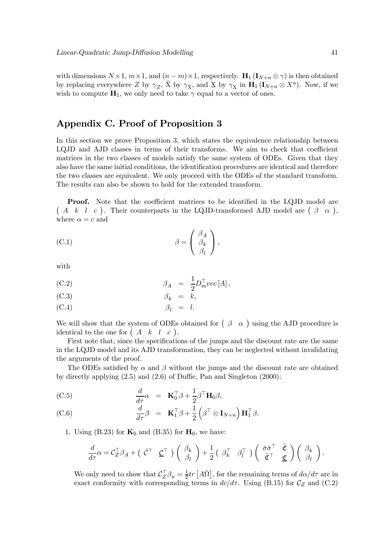with dimensions  $N \times 1$ ,  $m \times 1$ , and  $(n - m) \times 1$ , respectively.  $\mathbf{H}_1(\mathbf{I}_{N+n} \otimes \gamma)$  is then obtained by replacing everywhere Z by  $\gamma_Z$ ,  $\bar{X}$  by  $\gamma_{\bar{X}}$ , and X by  $\gamma_X$  in  $\mathbf{H}_1(\mathbf{I}_{N+n} \otimes X^a)$ . Now, if we wish to compute  $H_1$ , we only need to take  $\gamma$  equal to a vector of ones.

## Appendix C. Proof of Proposition 3

In this section we prove Proposition 3, which states the equivalence relationship between LQJD and AJD classes in terms of their transforms. We aim to check that coefficient matrices in the two classes of models satisfy the same system of ODEs. Given that they also have the same initial conditions, the identification procedures are identical and therefore the two classes are equivalent. We only proceed with the ODEs of the standard transform. The results can also be shown to hold for the extended transform.

Proof. Note that the coefficient matrices to be identified in the LQJD model are  $(A \ k \ l \ c)$ . Their counterparts in the LQJD-transformed AJD model are  $(\beta \ \alpha)$ , where  $\alpha = c$  and

(C.1) 
$$
\beta = \begin{pmatrix} \beta_A \\ \beta_k \\ \beta_l \end{pmatrix},
$$

with

(C.2) 
$$
\beta_A = \frac{1}{2} D_m^{\top} vec[A],
$$

$$
\beta_k = k,
$$

(C.4) 
$$
\beta_l = l.
$$

We will show that the system of ODEs obtained for  $(\beta \ \alpha)$  using the AJD procedure is identical to the one for  $\begin{pmatrix} A & k & l & c \end{pmatrix}$ .

First note that, since the specifications of the jumps and the discount rate are the same in the LQJD model and its AJD transformation, they can be neglected without invalidating the arguments of the proof.

The ODEs satisfied by  $\alpha$  and  $\beta$  without the jumps and the discount rate are obtained by directly applying (2.5) and (2.6) of Duffie, Pan and Singleton (2000):

(C.5) 
$$
\frac{d}{d\tau}\alpha = \mathbf{K}_0^{\top}\beta + \frac{1}{2}\beta^{\top}\mathbf{H}_0\beta,
$$

(C.6) 
$$
\frac{d}{d\tau}\beta = \mathbf{K}_1^{\top}\beta + \frac{1}{2}\left(\beta^{\top}\otimes \mathbf{I}_{N+n}\right)\mathbf{H}_1^{\top}\beta.
$$

1. Using (B.23) for  $\mathbf{K}_0$  and (B.35) for  $\mathbf{H}_0$ , we have:

$$
\frac{d}{d\tau}\alpha = \mathcal{C}_Z^\top \beta_A + \left( \begin{array}{cc} \bar{\mathcal{C}}^\top & \underline{\mathcal{C}}^\top \end{array} \right) \left( \begin{array}{c} \beta_k \\ \beta_l \end{array} \right) + \frac{1}{2} \left( \begin{array}{cc} \beta_k^\top & \beta_l^\top \end{array} \right) \left( \begin{array}{cc} \bar{\sigma} \bar{\sigma}^\top & \tilde{\mathfrak{C}} \\ \tilde{\mathfrak{C}}^\top & \underline{\mathfrak{C}} \end{array} \right) \left( \begin{array}{c} \beta_k \\ \beta_l \end{array} \right).
$$

We only need to show that  $C_Z^{\top} \beta_u = \frac{1}{2} tr \left[ A \overline{\Omega} \right]$ , for the remaining terms of  $d\alpha/d\tau$  are in exact conformity with corresponding terms in  $dc/d\tau$ . Using (B.15) for  $\mathcal{C}_Z$  and (C.2)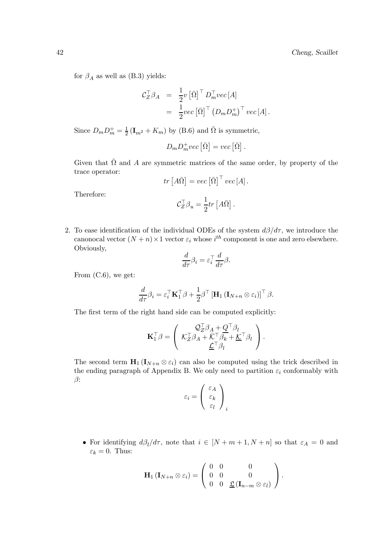for  $\beta_A$  as well as (B.3) yields:

$$
\begin{array}{rcl} \mathcal{C}_{Z}^{\top}\beta_{A} & = & \frac{1}{2}v\left[\bar{\Omega}\right]^{\top}D_{m}^{\top}vec\left[A\right] \\ & = & \frac{1}{2}vec\left[\bar{\Omega}\right]^{\top}\left(D_{m}D_{m}^{+}\right)^{\top}vec\left[A\right]. \end{array}
$$

Since  $D_m D_m^+ = \frac{1}{2} (\mathbf{I}_{m^2} + K_m)$  by (B.6) and  $\overline{\Omega}$  is symmetric,

$$
D_m D_m^+ vec\left[\bar{\Omega}\right] = vec\left[\bar{\Omega}\right].
$$

Given that  $\overline{\Omega}$  and A are symmetric matrices of the same order, by property of the trace operator:

$$
tr [A\bar{\Omega}] = vec [\bar{\Omega}]^{\top} vec [A].
$$

Therefore:

$$
\mathcal{C}_Z^\top \beta_u = \frac{1}{2} tr \left[ A \bar{\Omega} \right].
$$

2. To ease identification of the individual ODEs of the system  $d\beta/d\tau$ , we introduce the canonocal vector  $(N + n) \times 1$  vector  $\varepsilon_i$  whose  $i^{th}$  component is one and zero elsewhere. Obviously,

$$
\frac{d}{d\tau}\beta_i = \varepsilon_i^{\top} \frac{d}{d\tau} \beta.
$$

From (C.6), we get:

$$
\frac{d}{d\tau}\beta_i = \varepsilon_i^{\top} \mathbf{K}_1^{\top} \beta + \frac{1}{2} \beta^{\top} \left[ \mathbf{H}_1 \left( \mathbf{I}_{N+n} \otimes \varepsilon_i \right) \right]^{\top} \beta.
$$

The first term of the right hand side can be computed explicitly:

$$
\mathbf{K}_1^{\top}\boldsymbol{\beta} = \left(\begin{array}{c} \mathcal{Q}_Z^{\top}\boldsymbol{\beta}_A + \mathcal{Q}^{\top}\boldsymbol{\beta}_l \\ \mathcal{K}_Z^{\top}\boldsymbol{\beta}_A + \bar{\mathcal{K}}^{\top}\boldsymbol{\beta}_k + \underline{\mathcal{K}}^{\top}\boldsymbol{\beta}_l \\ \underline{\mathcal{L}}^{\top}\boldsymbol{\beta}_l \end{array}\right).
$$

The second term  $\mathbf{H}_1(\mathbf{I}_{N+n} \otimes \varepsilon_i)$  can also be computed using the trick described in the ending paragraph of Appendix B. We only need to partition  $\varepsilon_i$  conformably with  $\beta$ :

$$
\varepsilon_i = \left(\begin{array}{c}\varepsilon_A \\ \varepsilon_k \\ \varepsilon_l\end{array}\right)_i
$$

• For identifying  $d\beta_l/d\tau$ , note that  $i \in [N+m+1, N+n]$  so that  $\varepsilon_A = 0$  and  $\varepsilon_k = 0$ . Thus:

$$
\mathbf{H}_1 (\mathbf{I}_{N+n} \otimes \varepsilon_i) = \left( \begin{array}{ccc} 0 & 0 & 0 \\ 0 & 0 & 0 \\ 0 & 0 & \underline{\mathfrak{L}} (\mathbf{I}_{n-m} \otimes \varepsilon_l) \end{array} \right).
$$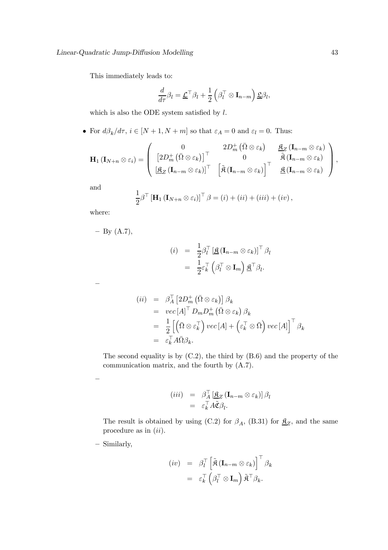This immediately leads to:

$$
\frac{d}{d\tau}\beta_l = \underline{\mathcal{L}}^\top \beta_l + \frac{1}{2} \left( \beta_l^\top \otimes \mathbf{I}_{n-m} \right) \underline{\mathfrak{L}} \beta_l,
$$

which is also the ODE system satisfied by  $l$ .

• For  $d\beta_k/d\tau$ ,  $i \in [N+1,N+m]$  so that  $\varepsilon_A = 0$  and  $\varepsilon_l = 0$ . Thus:

$$
\mathbf{H}_{1}(\mathbf{I}_{N+n} \otimes \varepsilon_{i}) = \left( \begin{array}{ccc} 0 & 2D_{m}^{+}(\bar{\Omega} \otimes \varepsilon_{k}) & \underline{\mathfrak{K}}_{Z}(\mathbf{I}_{n-m} \otimes \varepsilon_{k}) \\ \left[ 2D_{m}^{+}(\bar{\Omega} \otimes \varepsilon_{k})\right]^{\top} & 0 & \tilde{\mathfrak{K}}(\mathbf{I}_{n-m} \otimes \varepsilon_{k}) \\ \left[ \underline{\mathfrak{K}}_{Z}(\mathbf{I}_{n-m} \otimes \varepsilon_{k})\right]^{\top} & \left[ \tilde{\mathfrak{K}}(\mathbf{I}_{n-m} \otimes \varepsilon_{k})\right]^{\top} & \underline{\mathfrak{K}}(\mathbf{I}_{n-m} \otimes \varepsilon_{k}) \end{array} \right),
$$

and

$$
\frac{1}{2}\beta^{\top} \left[\mathbf{H}_{1} \left(\mathbf{I}_{N+n} \otimes \varepsilon_{i}\right)\right]^{\top} \beta = (i) + (ii) + (iii) + (iv),
$$

where:

—

—

$$
- By (A.7),
$$

$$
(i) = \frac{1}{2} \beta_l^{\top} \left[ \underline{\mathfrak{K}} \left( \mathbf{I}_{n-m} \otimes \varepsilon_k \right) \right]^{\top} \beta_l
$$

$$
= \frac{1}{2} \varepsilon_k^{\top} \left( \beta_l^{\top} \otimes \mathbf{I}_m \right) \underline{\mathfrak{K}}^{\top} \beta_l.
$$

$$
\begin{array}{rcl}\n(ii) & = & \beta_A^{\top} \left[ 2D_m^+ \left( \bar{\Omega} \otimes \varepsilon_k \right) \right] \beta_k \\
& = & vec \left[ A \right]^{\top} D_m D_m^+ \left( \bar{\Omega} \otimes \varepsilon_k \right) \beta_k \\
& = & \frac{1}{2} \left[ \left( \bar{\Omega} \otimes \varepsilon_k^{\top} \right) vec \left[ A \right] + \left( \varepsilon_k^{\top} \otimes \bar{\Omega} \right) vec \left[ A \right] \right]^{\top} \beta_k \\
& = & \varepsilon_k^{\top} A \bar{\Omega} \beta_k.\n\end{array}
$$

The second equality is by (C.2), the third by (B.6) and the property of the communication matrix, and the fourth by (A.7).

$$
\begin{array}{rcl} (iii) & = & \beta_A^\top \left[ \underline{\mathfrak{K}}_Z \left( \mathbf{I}_{n-m} \otimes \varepsilon_k \right) \right] \beta_l \\ & = & \varepsilon_k^\top A \tilde{\mathfrak{C}} \beta_l. \end{array}
$$

The result is obtained by using (C.2) for  $\beta_A$ , (B.31) for  $\underline{\mathfrak{K}}_Z$ , and the same procedure as in  $(ii)$ .

— Similarly,

$$
\begin{array}{rcl} (iv) & = & \beta_l^\top \left[ \tilde{\mathbf{R}} \left( \mathbf{I}_{n-m} \otimes \varepsilon_k \right) \right]^\top \beta_k \\ & = & \varepsilon_k^\top \left( \beta_l^\top \otimes \mathbf{I}_m \right) \tilde{\mathbf{R}}^\top \beta_k. \end{array}
$$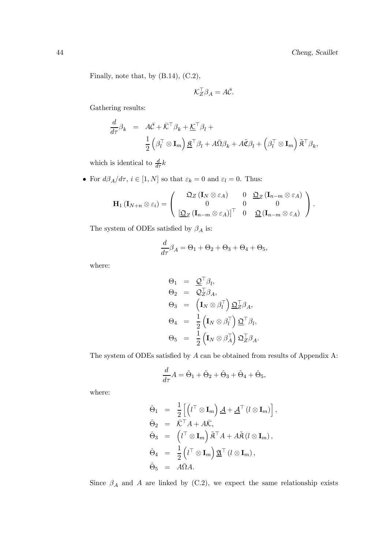Finally, note that, by (B.14), (C.2),

$$
\mathcal{K}_Z^\top \beta_A = A \bar{\mathcal{C}}.
$$

Gathering results:

$$
\frac{d}{d\tau}\beta_k = A\overline{C} + \overline{K}^\top \beta_k + \underline{K}^\top \beta_l + \frac{1}{2} \left( \beta_l^\top \otimes \mathbf{I}_m \right) \underline{\mathbf{\hat{R}}}^\top \beta_l + A\overline{\mathbf{\hat{Q}}} \beta_k + A\widetilde{\mathbf{\hat{C}}} \beta_l + \left( \beta_l^\top \otimes \mathbf{I}_m \right) \widetilde{\mathbf{\hat{R}}}^\top \beta_k,
$$

which is identical to  $\frac{d}{d\tau}k$ 

• For  $d\beta_A/d\tau$ ,  $i \in [1, N]$  so that  $\varepsilon_k = 0$  and  $\varepsilon_l = 0$ . Thus:

$$
\mathbf{H}_1 \left( \mathbf{I}_{N+n} \otimes \varepsilon_i \right) = \left( \begin{array}{ccc} \mathfrak{Q}_Z \left( \mathbf{I}_N \otimes \varepsilon_A \right) & 0 & \mathfrak{Q}_Z \left( \mathbf{I}_{n-m} \otimes \varepsilon_A \right) \\ 0 & 0 & 0 \\ \left[ \mathfrak{Q}_Z \left( \mathbf{I}_{n-m} \otimes \varepsilon_A \right) \right]^\top & 0 & \mathfrak{Q} \left( \mathbf{I}_{n-m} \otimes \varepsilon_A \right) \end{array} \right).
$$

The system of ODEs satisfied by  $\beta_A$  is:

$$
\frac{d}{d\tau}\beta_A = \Theta_1 + \Theta_2 + \Theta_3 + \Theta_4 + \Theta_5,
$$

where:

$$
\Theta_1 = \underline{\mathcal{Q}}^{\top} \beta_l,
$$
  
\n
$$
\Theta_2 = \overline{\mathcal{Q}}^{\top}_Z \beta_A,
$$
  
\n
$$
\Theta_3 = \left(\mathbf{I}_N \otimes \beta_l^{\top}\right) \underline{\mathfrak{Q}}^{\top}_Z \beta_A,
$$
  
\n
$$
\Theta_4 = \frac{1}{2} \left(\mathbf{I}_N \otimes \beta_l^{\top}\right) \underline{\mathfrak{Q}}^{\top} \beta_l,
$$
  
\n
$$
\Theta_5 = \frac{1}{2} \left(\mathbf{I}_N \otimes \beta_A^{\top}\right) \underline{\mathfrak{Q}}^{\top}_Z \beta_A.
$$

The system of ODEs satisfied by A can be obtained from results of Appendix A:

$$
\frac{d}{d\tau}A=\hat{\Theta}_1+\hat{\Theta}_2+\hat{\Theta}_3+\hat{\Theta}_4+\hat{\Theta}_5,
$$

where:

$$
\hat{\Theta}_1 = \frac{1}{2} \left[ \left( l^{\top} \otimes \mathbf{I}_m \right) \underline{A} + \underline{A}^{\top} \left( l \otimes \mathbf{I}_m \right) \right],
$$
  
\n
$$
\hat{\Theta}_2 = \overline{K}^{\top} A + A \overline{K},
$$
  
\n
$$
\hat{\Theta}_3 = \left( l^{\top} \otimes \mathbf{I}_m \right) \widetilde{R}^{\top} A + A \widetilde{R} \left( l \otimes \mathbf{I}_m \right),
$$
  
\n
$$
\hat{\Theta}_4 = \frac{1}{2} \left( l^{\top} \otimes \mathbf{I}_m \right) \underline{\mathfrak{A}}^{\top} \left( l \otimes \mathbf{I}_m \right),
$$
  
\n
$$
\hat{\Theta}_5 = A \overline{\Omega} A.
$$

Since  $\beta_A$  and A are linked by (C.2), we expect the same relationship exists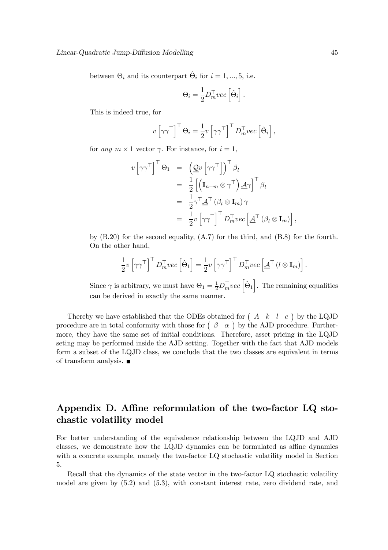between  $\Theta_i$  and its counterpart  $\hat{\Theta}_i$  for  $i = 1, ..., 5$ , i.e.

$$
\Theta_i = \frac{1}{2} D_m^\top vec \left[ \hat{\Theta}_i \right]
$$

.

This is indeed true, for

$$
v \left[\gamma \gamma^{\top}\right]^{\top} \Theta_i = \frac{1}{2} v \left[\gamma \gamma^{\top}\right]^{\top} D_m^{\top} vec \left[\hat{\Theta}_i\right],
$$

for any  $m \times 1$  vector  $\gamma$ . For instance, for  $i = 1$ ,

$$
v \left[ \gamma \gamma^{\top} \right]^{\top} \Theta_1 = \left( \underline{\mathcal{Q}} v \left[ \gamma \gamma^{\top} \right] \right)^{\top} \beta_l
$$
  
\n
$$
= \frac{1}{2} \left[ \left( \mathbf{I}_{n-m} \otimes \gamma^{\top} \right) \underline{\mathcal{A}} \gamma \right]^{\top} \beta_l
$$
  
\n
$$
= \frac{1}{2} \gamma^{\top} \underline{\mathcal{A}}^{\top} (\beta_l \otimes \mathbf{I}_m) \gamma
$$
  
\n
$$
= \frac{1}{2} v \left[ \gamma \gamma^{\top} \right]^{\top} D_m^{\top} vec \left[ \underline{\mathcal{A}}^{\top} (\beta_l \otimes \mathbf{I}_m) \right]
$$

by (B.20) for the second equality, (A.7) for the third, and (B.8) for the fourth. On the other hand,

$$
\frac{1}{2}v\left[\gamma\gamma^{\top}\right]^{\top}D_{m}^{\top}vec\left[\hat{\Theta}_{1}\right]=\frac{1}{2}v\left[\gamma\gamma^{\top}\right]^{\top}D_{m}^{\top}vec\left[\underline{\mathcal{A}}^{\top}\left(l\otimes\mathbf{I}_{m}\right)\right].
$$

Since  $\gamma$  is arbitrary, we must have  $\Theta_1 = \frac{1}{2} D_m^{\top} vec\left[\hat{\Theta}_1\right]$ . The remaining equalities can be derived in exactly the same manner.

Thereby we have established that the ODEs obtained for  $(A \ k \ l \ c)$  by the LQJD procedure are in total conformity with those for  $(\beta \ \alpha)$  by the AJD procedure. Furthermore, they have the same set of initial conditions. Therefore, asset pricing in the LQJD seting may be performed inside the AJD setting. Together with the fact that AJD models form a subset of the LQJD class, we conclude that the two classes are equivalent in terms of transform analysis.

## Appendix D. Affine reformulation of the two-factor LQ stochastic volatility model

For better understanding of the equivalence relationship between the LQJD and AJD classes, we demonstrate how the LQJD dynamics can be formulated as affine dynamics with a concrete example, namely the two-factor LQ stochastic volatility model in Section 5.

Recall that the dynamics of the state vector in the two-factor LQ stochastic volatility model are given by (5.2) and (5.3), with constant interest rate, zero dividend rate, and

,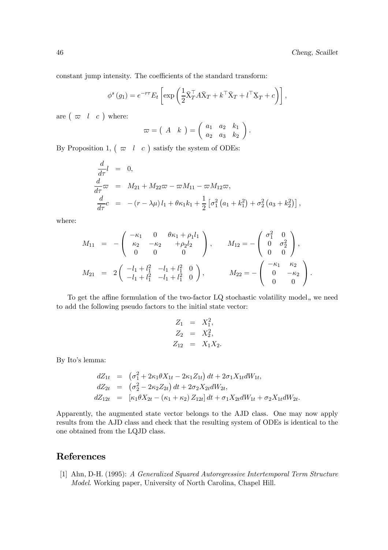constant jump intensity. The coefficients of the standard transform:

$$
\phi^s(g_1) = e^{-r\tau} E_t \left[ \exp\left( \frac{1}{2} \bar{X}_T^\top A \bar{X}_T + k^\top \bar{X}_T + l^\top \underline{X}_T + c \right) \right],
$$

are  $\left(\begin{array}{cc} \varpi & l & c \end{array}\right)$  where:

$$
\varpi = \left(\begin{array}{cc} A & k \end{array}\right) = \left(\begin{array}{ccc} a_1 & a_2 & k_1 \\ a_2 & a_3 & k_2 \end{array}\right)
$$

.

By Proposition 1,  $(\bar{\varpi} \mid l \in c)$  satisfy the system of ODEs:

$$
\frac{d}{d\tau}l = 0,\n\frac{d}{d\tau}\varpi = M_{21} + M_{22}\varpi - \varpi M_{11} - \varpi M_{12}\varpi,\n\frac{d}{d\tau}c = -(r - \lambda\mu)l_1 + \theta\kappa_1k_1 + \frac{1}{2} [\sigma_1^2(a_1 + k_1^2) + \sigma_2^2(a_3 + k_2^2)],
$$

where:

$$
M_{11} = -\begin{pmatrix} -\kappa_1 & 0 & \theta\kappa_1 + \rho_1 l_1 \\ \kappa_2 & -\kappa_2 & +\rho_2 l_2 \\ 0 & 0 & 0 \end{pmatrix}, \qquad M_{12} = -\begin{pmatrix} \sigma_1^2 & 0 \\ 0 & \sigma_2^2 \\ 0 & 0 \end{pmatrix},
$$
  
\n
$$
M_{21} = 2\begin{pmatrix} -l_1 + l_1^2 & -l_1 + l_1^2 & 0 \\ -l_1 + l_1^2 & -l_1 + l_1^2 & 0 \end{pmatrix}, \qquad M_{22} = -\begin{pmatrix} -\kappa_1 & \kappa_2 \\ 0 & -\kappa_2 \\ 0 & 0 \end{pmatrix}.
$$

To get the affine formulation of the two-factor LQ stochastic volatility model, we need to add the following pseudo factors to the initial state vector:

$$
Z_1 = X_1^2,
$$
  
\n
$$
Z_2 = X_2^2,
$$
  
\n
$$
Z_{12} = X_1 X_2.
$$

By Ito's lemma:

$$
dZ_{1t} = (\sigma_1^2 + 2\kappa_1 \theta X_{1t} - 2\kappa_1 Z_{1t}) dt + 2\sigma_1 X_{1t} dW_{1t},
$$
  
\n
$$
dZ_{2t} = (\sigma_2^2 - 2\kappa_2 Z_{2t}) dt + 2\sigma_2 X_{2t} dW_{2t},
$$
  
\n
$$
dZ_{12t} = [\kappa_1 \theta X_{2t} - (\kappa_1 + \kappa_2) Z_{12t}] dt + \sigma_1 X_{2t} dW_{1t} + \sigma_2 X_{1t} dW_{2t}.
$$

Apparently, the augmented state vector belongs to the AJD class. One may now apply results from the AJD class and check that the resulting system of ODEs is identical to the one obtained from the LQJD class.

## References

[1] Ahn, D-H. (1995): A Generalized Squared Autoregressive Intertemporal Term Structure Model. Working paper, University of North Carolina, Chapel Hill.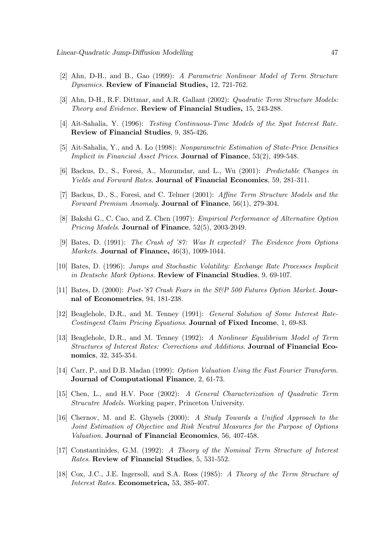- [2] Ahn, D-H., and B., Gao (1999): A Parametric Nonlinear Model of Term Structure Dynamics. Review of Financial Studies, 12, 721-762.
- [3] Ahn, D-H., R.F. Dittmar, and A.R. Gallant (2002): Quadratic Term Structure Models: Theory and Evidence. Review of Financial Studies, 15, 243-288.
- [4] Ait-Sahalia, Y. (1996): Testing Continuous-Time Models of the Spot Interest Rate. Review of Financial Studies, 9, 385-426.
- [5] Ait-Sahalia, Y., and A. Lo (1998): Nonparametric Estimation of State-Price Densities Implicit in Financial Asset Prices. Journal of Finance, 53(2), 499-548.
- [6] Backus, D., S., Foresi, A., Mozumdar, and L., Wu (2001): Predictable Changes in Yields and Forward Rates. Journal of Financial Economics, 59, 281-311.
- [7] Backus, D., S., Foresi, and C. Telmer (2001): Affine Term Structure Models and the Forward Premium Anomaly. Journal of Finance, 56(1), 279-304.
- [8] Bakshi G., C. Cao, and Z. Chen (1997): Empirical Performance of Alternative Option Pricing Models. Journal of Finance, 52(5), 2003-2049.
- [9] Bates, D. (1991): The Crash of '87: Was It expected? The Evidence from Options Markets. Journal of Finance, 46(3), 1009-1044.
- [10] Bates, D. (1996): Jumps and Stochastic Volatility: Exchange Rate Processes Implicit in Deutsche Mark Options. Review of Financial Studies, 9, 69-107.
- [11] Bates, D. (2000): Post-'87 Crash Fears in the S&P 500 Futures Option Market. Journal of Econometrics, 94, 181-238.
- [12] Beaglehole, D.R., and M. Tenney (1991): General Solution of Some Interest Rate-Contingent Claim Pricing Equations. Journal of Fixed Income, 1, 69-83.
- [13] Beaglehole, D.R., and M. Tenney (1992): A Nonlinear Equilibrium Model of Term Structures of Interest Rates: Corrections and Additions. Journal of Financial Economics, 32, 345-354.
- [14] Carr, P., and D.B. Madan (1999): Option Valuation Using the Fast Fourier Transform. Journal of Computational Finance, 2, 61-73.
- [15] Chen, L., and H.V. Poor (2002): A General Characterization of Quadratic Term Strucutre Models. Working paper, Princeton University.
- [16] Chernov, M. and E. Ghysels (2000): A Study Towards a Unified Approach to the Joint Estimation of Objective and Risk Neutral Measures for the Purpose of Options Valuation. Journal of Financial Economics, 56, 407-458.
- [17] Constantinides, G.M. (1992): A Theory of the Nominal Term Structure of Interest Rates. Review of Financial Studies, 5, 531-552.
- [18] Cox, J.C., J.E. Ingersoll, and S.A. Ross (1985): A Theory of the Term Structure of Interest Rates. Econometrica, 53, 385-407.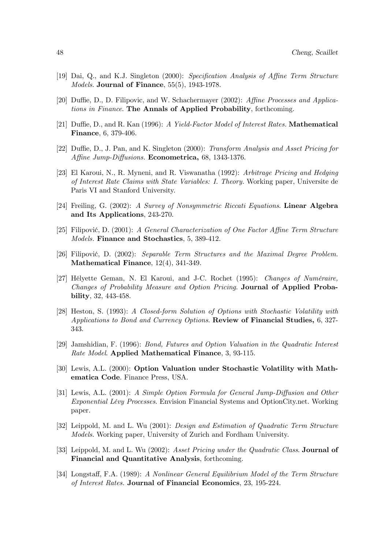- [19] Dai, Q., and K.J. Singleton (2000): Specification Analysis of Affine Term Structure Models. Journal of Finance, 55(5), 1943-1978.
- [20] Duffie, D., D. Filipovic, and W. Schachermayer (2002): Affine Processes and Applications in Finance. The Annals of Applied Probability, forthcoming.
- [21] Duffie, D., and R. Kan (1996): A Yield-Factor Model of Interest Rates. Mathematical Finance, 6, 379-406.
- [22] Duffie, D., J. Pan, and K. Singleton (2000): Transform Analysis and Asset Pricing for Affine Jump-Diffusions. Econometrica, 68, 1343-1376.
- [23] El Karoui, N., R. Myneni, and R. Viswanatha (1992): Arbitrage Pricing and Hedging of Interest Rate Claims with State Variables: I. Theory. Working paper, Universite de Paris VI and Stanford University.
- [24] Freiling, G. (2002): A Survey of Nonsymmetric Riccati Equations. Linear Algebra and Its Applications, 243-270.
- [25] Filipović, D. (2001): A General Characterization of One Factor Affine Term Structure Models. Finance and Stochastics, 5, 389-412.
- [26] Filipović, D. (2002): Separable Term Structures and the Maximal Degree Problem. Mathematical Finance, 12(4), 341-349.
- [27] Hélyette Geman, N. El Karoui, and J-C. Rochet (1995): Changes of Numéraire, Changes of Probability Measure and Option Pricing. Journal of Applied Probability, 32, 443-458.
- [28] Heston, S. (1993): A Closed-form Solution of Options with Stochastic Volatility with Applications to Bond and Currency Options. Review of Financial Studies, 6, 327- 343.
- [29] Jamshidian, F. (1996): Bond, Futures and Option Valuation in the Quadratic Interest Rate Model. Applied Mathematical Finance, 3, 93-115.
- [30] Lewis, A.L. (2000): Option Valuation under Stochastic Volatility with Mathematica Code. Finance Press, USA.
- [31] Lewis, A.L. (2001): A Simple Option Formula for General Jump-Diffusion and Other Exponential Lévy Processes. Envision Financial Systems and OptionCity.net. Working paper.
- [32] Leippold, M. and L. Wu (2001): Design and Estimation of Quadratic Term Structure Models. Working paper, University of Zurich and Fordham University.
- [33] Leippold, M. and L. Wu (2002): Asset Pricing under the Quadratic Class. Journal of Financial and Quantitative Analysis, forthcoming.
- [34] Longstaff, F.A. (1989): A Nonlinear General Equilibrium Model of the Term Structure of Interest Rates. Journal of Financial Economics, 23, 195-224.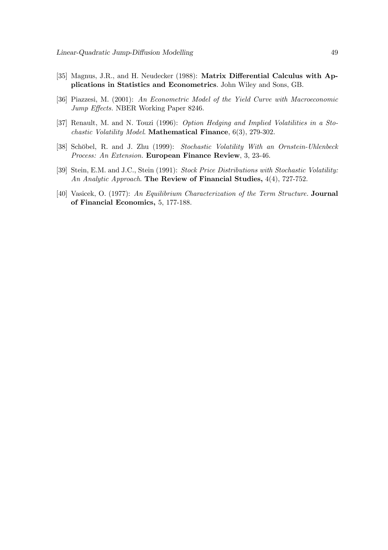- [35] Magnus, J.R., and H. Neudecker (1988): Matrix Differential Calculus with Applications in Statistics and Econometrics. John Wiley and Sons, GB.
- [36] Piazzesi, M. (2001): An Econometric Model of the Yield Curve with Macroeconomic Jump Effects. NBER Working Paper 8246.
- [37] Renault, M. and N. Touzi (1996): Option Hedging and Implied Volatilities in a Stochastic Volatility Model. Mathematical Finance, 6(3), 279-302.
- [38] Schöbel, R. and J. Zhu (1999): Stochastic Volatility With an Ornstein-Uhlenbeck Process: An Extension. European Finance Review, 3, 23-46.
- [39] Stein, E.M. and J.C., Stein (1991): Stock Price Distributions with Stochastic Volatility: An Analytic Approach. The Review of Financial Studies, 4(4), 727-752.
- [40] Vasicek, O. (1977): An Equilibrium Characterization of the Term Structure. Journal of Financial Economics, 5, 177-188.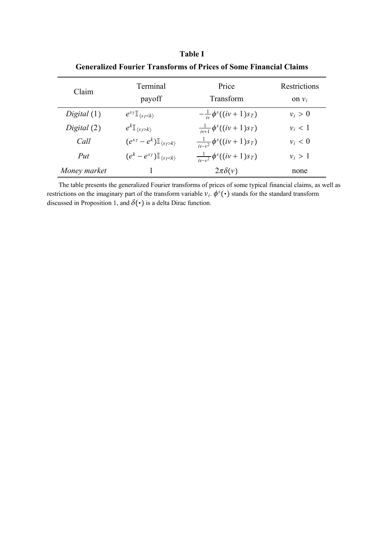| OVINI ANŽVA I VALIVI. I LANSIVI NIS VI. I LIVOS VI DVINO I MANVIAI ČIANINS |                                            |                                        |                          |  |  |  |  |  |
|----------------------------------------------------------------------------|--------------------------------------------|----------------------------------------|--------------------------|--|--|--|--|--|
| Claim                                                                      | Terminal<br>payoff                         | Price<br>Transform                     | Restrictions<br>on $v_i$ |  |  |  |  |  |
| Digital(1)                                                                 | $e^{s_T}\mathbb{I}_{\{s_T\leq k\}}$        | $-\frac{1}{w}\phi^{s}((iv+1)s_T)$      | $v_i > 0$                |  |  |  |  |  |
| Digital $(2)$                                                              | $e^{k}\mathbb{I}_{\{s_T>k\}}$              | $\frac{1}{iv+1} \phi^{s}((iv+1)s_T)$   | $v_i < 1$                |  |  |  |  |  |
| Call                                                                       | $(e^{s_T}-e^k)\mathbb{I}_{\{s_T > k\}}$    | $\frac{1}{iv-v^2} \phi^s((iv+1)s_T)$   | $v_i < 0$                |  |  |  |  |  |
| Put                                                                        | $(e^{k}-e^{sT})\mathbb{I}_{\{s_T\leq k\}}$ | $\frac{1}{ v-v^2 }\phi^{s}((iv+1)s_T)$ | $v_i > 1$                |  |  |  |  |  |
| Money market                                                               |                                            | $2\pi\delta(v)$                        | none                     |  |  |  |  |  |

**Table I Generalized Fourier Transforms of Prices of Some Financial Claims**

The table presents the generalized Fourier transforms of prices of some typical financial claims, as well as restrictions on the imaginary part of the transform variable  $v_i$ .  $\phi^s(\cdot)$  stands for the standard transform discussed in Proposition 1, and  $\delta(\cdot)$  is a delta Dirac function.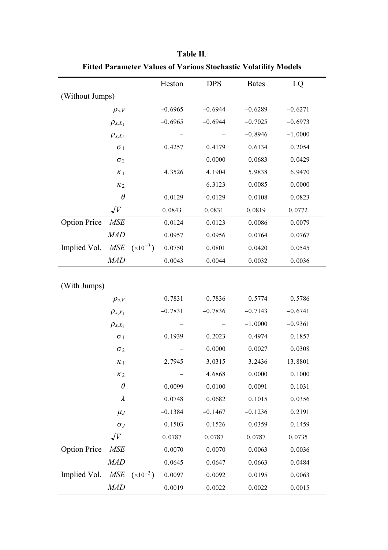|                     |                |              | Heston    | <b>DPS</b> | <b>Bates</b> | LQ        |  |  |
|---------------------|----------------|--------------|-----------|------------|--------------|-----------|--|--|
| (Without Jumps)     |                |              |           |            |              |           |  |  |
|                     | $\rho_{s,V}$   |              | $-0.6965$ | $-0.6944$  | $-0.6289$    | $-0.6271$ |  |  |
| $\rho_{s,X_1}$      |                | $-0.6965$    |           | $-0.6944$  | $-0.7025$    | $-0.6973$ |  |  |
|                     | $\rho_{s,X_2}$ |              |           |            | $-0.8946$    | $-1.0000$ |  |  |
|                     | $\sigma_1$     |              | 0.4257    | 0.4179     | 0.6134       | 0.2054    |  |  |
|                     | $\sigma_2$     |              |           | 0.0000     | 0.0683       | 0.0429    |  |  |
|                     | $\kappa_1$     |              | 4.3526    | 4.1904     | 5.9838       | 6.9470    |  |  |
|                     | K <sub>2</sub> |              |           | 6.3123     | 0.0085       | 0.0000    |  |  |
|                     | $\theta$       |              | 0.0129    | 0.0129     | 0.0108       | 0.0823    |  |  |
|                     | $\sqrt{V}$     |              | 0.0843    | 0.0831     | 0.0819       | 0.0772    |  |  |
| <b>Option Price</b> | <b>MSE</b>     |              | 0.0124    | 0.0123     | 0.0086       | 0.0079    |  |  |
|                     | <b>MAD</b>     |              | 0.0957    | 0.0956     | 0.0764       | 0.0767    |  |  |
| Implied Vol.        | <b>MSE</b>     | $(x10^{-3})$ | 0.0750    | 0.0801     | 0.0420       | 0.0545    |  |  |
|                     | <b>MAD</b>     |              | 0.0043    | 0.0044     | 0.0032       | 0.0036    |  |  |
|                     |                |              |           |            |              |           |  |  |
| (With Jumps)        |                |              |           |            |              |           |  |  |
|                     | $\rho_{s,V}$   |              | $-0.7831$ | $-0.7836$  | $-0.5774$    | $-0.5786$ |  |  |
|                     | $\rho_{s,X_1}$ |              | $-0.7831$ | $-0.7836$  | $-0.7143$    | $-0.6741$ |  |  |
|                     | $\rho_{s,X_2}$ |              |           |            | $-1.0000$    | $-0.9361$ |  |  |
|                     | $\sigma_1$     |              | 0.1939    | 0.2023     | 0.4974       | 0.1857    |  |  |
|                     | $\sigma_2$     |              |           | 0.0000     | 0.0027       | 0.0308    |  |  |
|                     | $\kappa_1$     |              | 2.7945    | 3.0315     | 3.2436       | 13.8801   |  |  |
|                     | $\kappa_2$     |              |           | 4.6868     | 0.0000       | 0.1000    |  |  |
|                     | $\theta$       |              | 0.0099    | 0.0100     | 0.0091       | 0.1031    |  |  |
|                     | $\lambda$      |              | 0.0748    | 0.0682     | 0.1015       | 0.0356    |  |  |
|                     | $\mu_J$        |              | $-0.1384$ | $-0.1467$  | $-0.1236$    | 0.2191    |  |  |
|                     | $\sigma_J$     |              | 0.1503    | 0.1526     | 0.0359       | 0.1459    |  |  |
|                     | $\sqrt{V}$     |              | 0.0787    | 0.0787     | 0.0787       | 0.0735    |  |  |
| <b>Option Price</b> | <b>MSE</b>     |              | 0.0070    | 0.0070     | 0.0063       | 0.0036    |  |  |
|                     | <b>MAD</b>     |              | 0.0645    | 0.0647     | 0.0663       | 0.0484    |  |  |
| Implied Vol.        | <b>MSE</b>     | $(x10^{-3})$ | 0.0097    | 0.0092     | 0.0195       | 0.0063    |  |  |
|                     | <b>MAD</b>     |              | 0.0019    | 0.0022     | 0.0022       | 0.0015    |  |  |

**Table II**. **Fitted Parameter Values of Various Stochastic Volatility Models**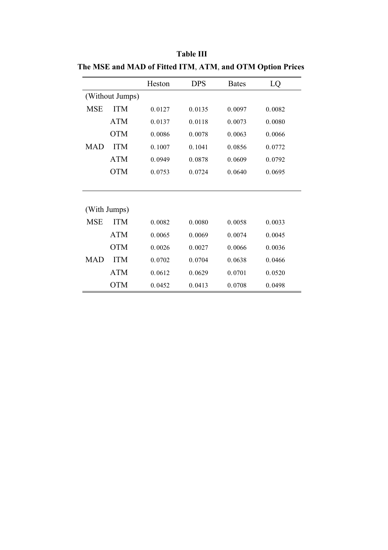|                 |            | Heston | <b>DPS</b> | <b>Bates</b> | LQ     |
|-----------------|------------|--------|------------|--------------|--------|
| (Without Jumps) |            |        |            |              |        |
| <b>MSE</b>      | <b>ITM</b> | 0.0127 | 0.0135     | 0.0097       | 0.0082 |
|                 | <b>ATM</b> | 0.0137 | 0.0118     | 0.0073       | 0.0080 |
|                 | <b>OTM</b> | 0.0086 | 0.0078     | 0.0063       | 0.0066 |
| <b>MAD</b>      | <b>ITM</b> | 0.1007 | 0.1041     | 0.0856       | 0.0772 |
|                 | ATM        | 0.0949 | 0.0878     | 0.0609       | 0.0792 |
|                 | OTM        | 0.0753 | 0.0724     | 0.0640       | 0.0695 |
|                 |            |        |            |              |        |
|                 |            |        |            |              |        |
| (With Jumps)    |            |        |            |              |        |
| <b>MSE</b>      | <b>ITM</b> | 0.0082 | 0.0080     | 0.0058       | 0.0033 |
|                 | ATM        | 0.0065 | 0.0069     | 0.0074       | 0.0045 |
|                 | <b>OTM</b> | 0.0026 | 0.0027     | 0.0066       | 0.0036 |
| <b>MAD</b>      | <b>ITM</b> | 0.0702 | 0.0704     | 0.0638       | 0.0466 |
|                 | <b>ATM</b> | 0.0612 | 0.0629     | 0.0701       | 0.0520 |
|                 | OTM        | 0.0452 | 0.0413     | 0.0708       | 0.0498 |

**Table III The MSE and MAD of Fitted ITM**, **ATM**, **and OTM Option Prices**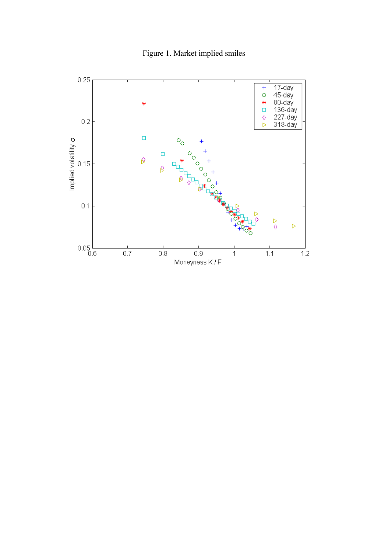

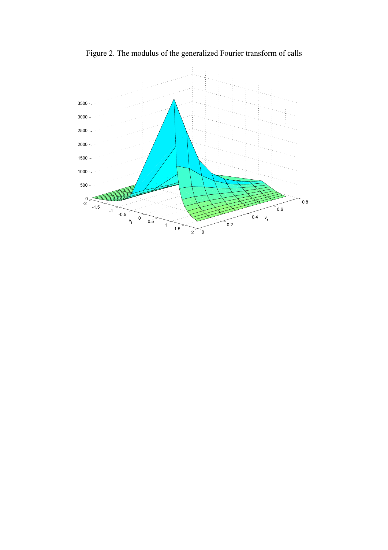

Figure 2. The modulus of the generalized Fourier transform of calls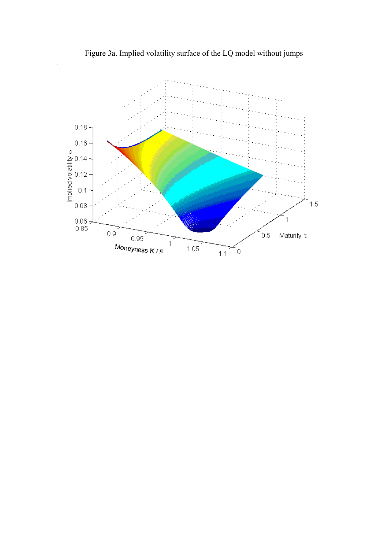Figure 3a. Implied volatility surface of the LQ model without jumps

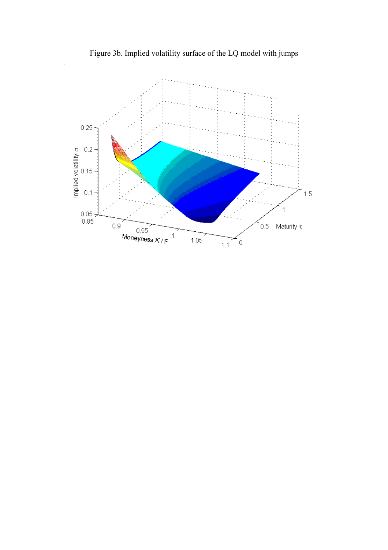Figure 3b. Implied volatility surface of the LQ model with jumps

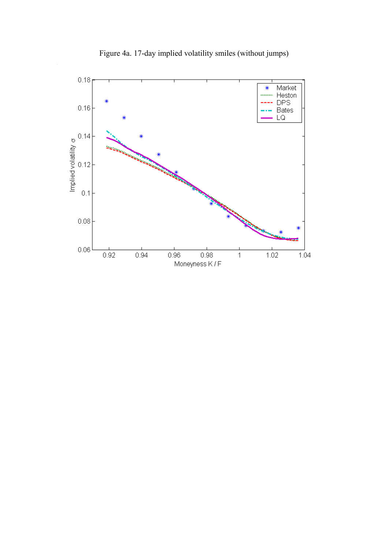

Figure 4a. 17-day implied volatility smiles (without jumps)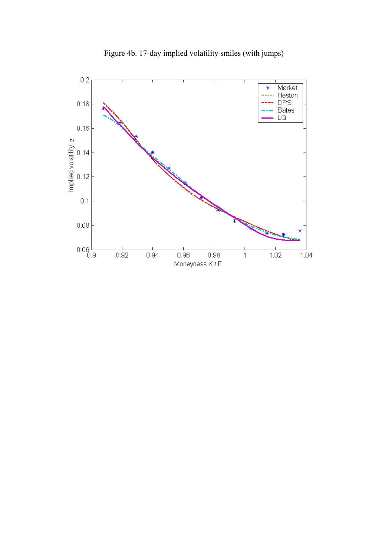

Figure 4b. 17-day implied volatility smiles (with jumps)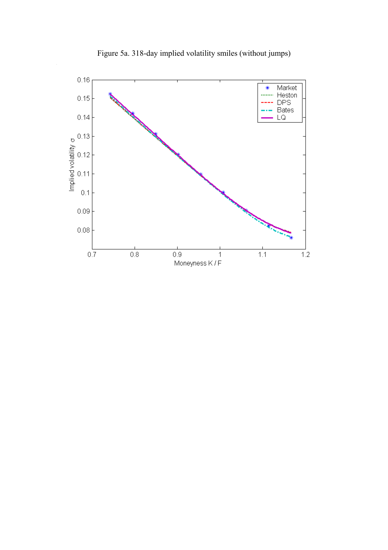

Figure 5a. 318-day implied volatility smiles (without jumps)